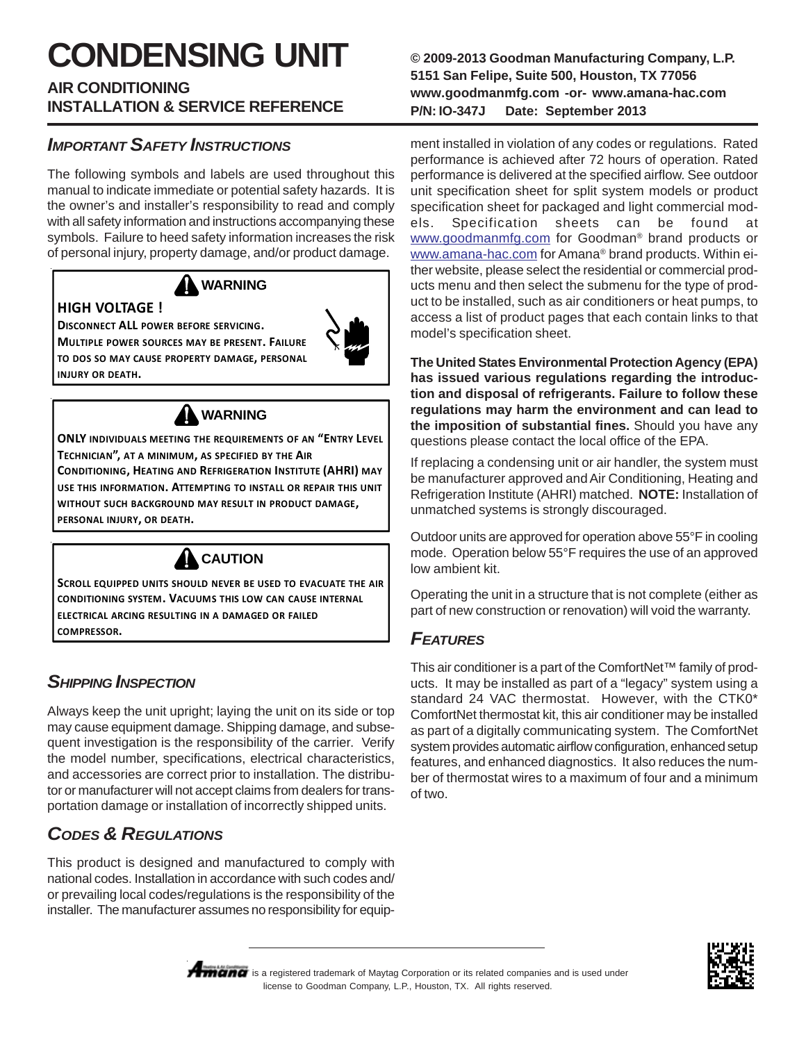# **CONDENSING UNIT**

#### **AIR CONDITIONING INSTALLATION & SERVICE REFERENCE**

### *IMPORTANT SAFETY INSTRUCTIONS*

The following symbols and labels are used throughout this manual to indicate immediate or potential safety hazards. It is the owner's and installer's responsibility to read and comply with all safety information and instructions accompanying these symbols. Failure to heed safety information increases the risk of personal injury, property damage, and/or product damage.

#### **WARNING**

#### **HIGH VOLTAGE !**

**DISCONNECT ALL POWER BEFORE SERVICING.**

**MULTIPLE POWER SOURCES MAY BE PRESENT. FAILURE TO DOS SO MAY CAUSE PROPERTY DAMAGE, PERSONAL INJURY OR DEATH.**



**ONLY INDIVIDUALS MEETING THE REQUIREMENTS OF AN "ENTRY LEVEL TECHNICIAN" AS SPECIFIED BY THE AIR , AT A MINIMUM, CONDITIONING, HEATING AND REFRIGERATION INSTITUTE (AHRI) MAY USE THIS INFORMATION. ATTEMPTING TO INSTALL OR REPAIR THIS UNIT WITHOUT SUCH BACKGROUND MAY RESULT IN PRODUCT DAMAGE, PERSONAL INJURY, OR DEATH.**



**SCROLL EQUIPPED UNITS SHOULD NEVER BE USED TO EVACUATE THE AIR CONDITIONING SYSTEM. VACUUMS THIS LOW CAN CAUSE INTERNAL ELECTRICAL ARCING RESULTING IN A DAMAGED OR FAILED COMPRESSOR.**

### *SHIPPING INSPECTION*

Always keep the unit upright; laying the unit on its side or top may cause equipment damage. Shipping damage, and subsequent investigation is the responsibility of the carrier. Verify the model number, specifications, electrical characteristics, and accessories are correct prior to installation. The distributor or manufacturer will not accept claims from dealers for transportation damage or installation of incorrectly shipped units.

### *CODES & REGULATIONS*

This product is designed and manufactured to comply with national codes. Installation in accordance with such codes and/ or prevailing local codes/regulations is the responsibility of the installer. The manufacturer assumes no responsibility for equip**© 2009-2013 Goodman Manufacturing Company, L.P. 5151 San Felipe, Suite 500, Houston, TX 77056 www.goodmanmfg.com -or- www.amana-hac.com P/N: IO-347J Date: September 2013**

ment installed in violation of any codes or regulations. Rated performance is achieved after 72 hours of operation. Rated performance is delivered at the specified airflow. See outdoor unit specification sheet for split system models or product specification sheet for packaged and light commercial models. Specification sheets can be found at www.goodmanmfg.com for Goodman® brand products or www.amana-hac.com for Amana® brand products. Within either website, please select the residential or commercial products menu and then select the submenu for the type of product to be installed, such as air conditioners or heat pumps, to access a list of product pages that each contain links to that model's specification sheet.

**The United States Environmental Protection Agency (EPA) has issued various regulations regarding the introduction and disposal of refrigerants. Failure to follow these regulations may harm the environment and can lead to the imposition of substantial fines.** Should you have any questions please contact the local office of the EPA.

If replacing a condensing unit or air handler, the system must be manufacturer approved and Air Conditioning, Heating and Refrigeration Institute (AHRI) matched. **NOTE:** Installation of unmatched systems is strongly discouraged.

Outdoor units are approved for operation above 55°F in cooling mode. Operation below 55°F requires the use of an approved low ambient kit.

Operating the unit in a structure that is not complete (either as part of new construction or renovation) will void the warranty.

### *FEATURES*

This air conditioner is a part of the ComfortNet™ family of products. It may be installed as part of a "legacy" system using a standard 24 VAC thermostat. However, with the CTK0\* ComfortNet thermostat kit, this air conditioner may be installed as part of a digitally communicating system. The ComfortNet system provides automatic airflow configuration, enhanced setup features, and enhanced diagnostics. It also reduces the number of thermostat wires to a maximum of four and a minimum of two.

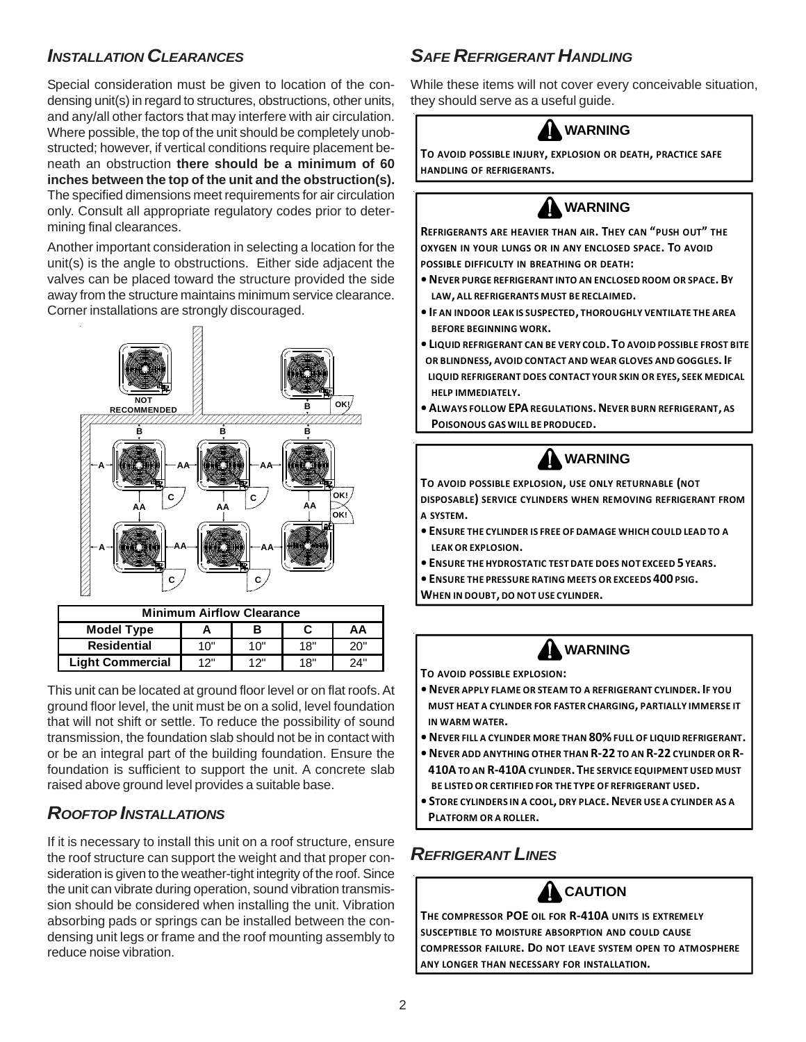### *INSTALLATION CLEARANCES*

Special consideration must be given to location of the condensing unit(s) in regard to structures, obstructions, other units, and any/all other factors that may interfere with air circulation. Where possible, the top of the unit should be completely unobstructed; however, if vertical conditions require placement beneath an obstruction **there should be a minimum of 60 inches between the top of the unit and the obstruction(s).** The specified dimensions meet requirements for air circulation only. Consult all appropriate regulatory codes prior to determining final clearances.

Another important consideration in selecting a location for the unit(s) is the angle to obstructions. Either side adjacent the valves can be placed toward the structure provided the side away from the structure maintains minimum service clearance. Corner installations are strongly discouraged.



| <b>Minimum Airflow Clearance</b> |     |     |     |     |
|----------------------------------|-----|-----|-----|-----|
| <b>Model Type</b><br>АΑ          |     |     |     |     |
| <b>Residential</b>               | 10" | 10" | 18" | 20" |
| <b>Light Commercial</b>          | 12" | 12" | 18" | 24" |

This unit can be located at ground floor level or on flat roofs. At ground floor level, the unit must be on a solid, level foundation that will not shift or settle. To reduce the possibility of sound transmission, the foundation slab should not be in contact with or be an integral part of the building foundation. Ensure the foundation is sufficient to support the unit. A concrete slab raised above ground level provides a suitable base.

### *ROOFTOP INSTALLATIONS*

If it is necessary to install this unit on a roof structure, ensure the roof structure can support the weight and that proper consideration is given to the weather-tight integrity of the roof. Since the unit can vibrate during operation, sound vibration transmission should be considered when installing the unit. Vibration absorbing pads or springs can be installed between the condensing unit legs or frame and the roof mounting assembly to reduce noise vibration.

### *SAFE REFRIGERANT HANDLING*

While these items will not cover every conceivable situation, they should serve as a useful guide.

### **WARNING**

**TO AVOID POSSIBLE INJURY, EXPLOSION OR DEATH, PRACTICE SAFE HANDLING OF REFRIGERANTS.**

### **WARNING**

**REFRIGERANTS ARE HEAVIER THAN AIR. THEY CAN "PUSH OUT" THE OXYGEN IN YOUR LUNGS OR IN ANY ENCLOSED SPACE. TO AVOID POSSIBLE DIFFICULTY IN BREATHING OR DEATH:**

- **•NEVER PURGE REFRIGERANT INTO AN ENCLOSED ROOM OR SPACE. BY LAW, ALL REFRIGERANTS MUST BE RECLAIMED.**
- **• IF AN INDOOR LEAK IS SUSPECTED, THOROUGHLY VENTILATE THE AREA BEFORE BEGINNING WORK.**
- **• LIQUID REFRIGERANT CAN BE VERY COLD. TO AVOID POSSIBLE FROST BITE OR BLINDNESS, AVOID CONTACT AND WEAR GLOVES AND GOGGLES. IF LIQUID REFRIGERANT DOES CONTACT YOUR SKIN OR EYES, SEEK MEDICAL HELP IMMEDIATELY.**
- **•ALWAYS FOLLOW EPAREGULATIONS.NEVER BURN REFRIGERANT, AS POISONOUS GAS WILL BE PRODUCED.**



**TO AVOID POSSIBLE EXPLOSION, USE ONLY RETURNABLE (NOT DISPOSABLE) SERVICE CYLINDERS WHEN REMOVING REFRIGERANT FROM A SYSTEM.**

- **• ENSURE THE CYLINDER IS FREE OF DAMAGE WHICH COULD LEAD TO A LEAK OR EXPLOSION.**
- **• ENSURE THE HYDROSTATIC TEST DATE DOES NOT EXCEED 5 YEARS.**
- **• ENSURE THE PRESSURE RATING MEETS OR EXCEEDS 400 PSIG.**

**WHEN IN DOUBT, DO NOT USE CYLINDER.**



**TO AVOID POSSIBLE EXPLOSION:**

- **•NEVER APPLY FLAME OR STEAM TO A REFRIGERANT CYLINDER. IF YOU MUST HEAT A CYLINDER FOR FASTER CHARGING, PARTIALLY IMMERSE IT IN WARM WATER.**
- **•NEVER FILL A CYLINDER MORE THAN 80% FULL OF LIQUID REFRIGERANT.**
- **•NEVER ADD ANYTHING OTHER THAN R‐22 TO AN R‐22 CYLINDER OR R‐ 410ATO AN R‐410A CYLINDER. THE SERVICE EQUIPMENT USED MUST BE LISTED OR CERTIFIED FOR THE TYPE OF REFRIGERANT USED.**
- **• STORE CYLINDERS IN A COOL, DRY PLACE.NEVER USE A CYLINDER AS A PLATFORM OR A ROLLER.**

### *REFRIGERANT LINES*



**THE COMPRESSOR POE OIL FOR R‐410A UNITS IS EXTREMELY SUSCEPTIBLE TO MOISTURE ABSORPTION AND COULD CAUSE COMPRESSOR FAILURE. DO NOT LEAVE SYSTEM OPEN TO ATMOSPHERE ANY LONGER THAN NECESSARY FOR INSTALLATION.**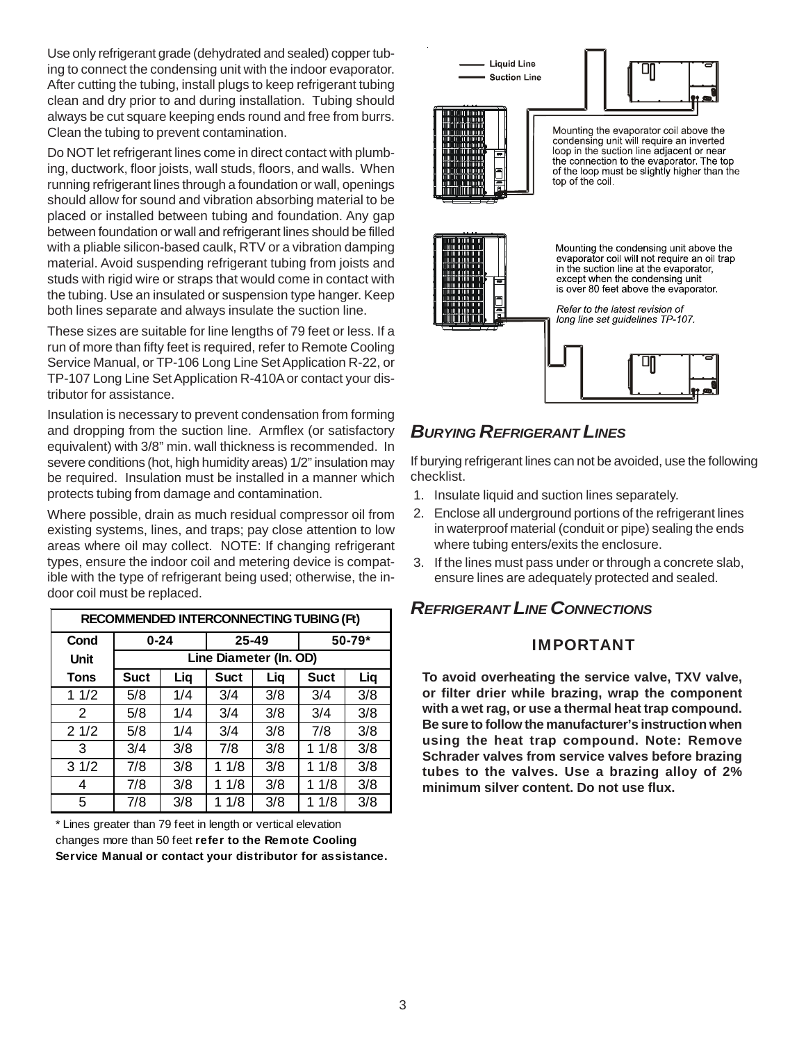Use only refrigerant grade (dehydrated and sealed) copper tubing to connect the condensing unit with the indoor evaporator. After cutting the tubing, install plugs to keep refrigerant tubing clean and dry prior to and during installation. Tubing should always be cut square keeping ends round and free from burrs. Clean the tubing to prevent contamination.

Do NOT let refrigerant lines come in direct contact with plumbing, ductwork, floor joists, wall studs, floors, and walls. When running refrigerant lines through a foundation or wall, openings should allow for sound and vibration absorbing material to be placed or installed between tubing and foundation. Any gap between foundation or wall and refrigerant lines should be filled with a pliable silicon-based caulk, RTV or a vibration damping material. Avoid suspending refrigerant tubing from joists and studs with rigid wire or straps that would come in contact with the tubing. Use an insulated or suspension type hanger. Keep both lines separate and always insulate the suction line.

These sizes are suitable for line lengths of 79 feet or less. If a run of more than fifty feet is required, refer to Remote Cooling Service Manual, or TP-106 Long Line Set Application R-22, or TP-107 Long Line Set Application R-410A or contact your distributor for assistance.

Insulation is necessary to prevent condensation from forming and dropping from the suction line. Armflex (or satisfactory equivalent) with 3/8" min. wall thickness is recommended. In severe conditions (hot, high humidity areas) 1/2" insulation may be required. Insulation must be installed in a manner which protects tubing from damage and contamination.

Where possible, drain as much residual compressor oil from existing systems, lines, and traps; pay close attention to low areas where oil may collect. NOTE: If changing refrigerant types, ensure the indoor coil and metering device is compatible with the type of refrigerant being used; otherwise, the indoor coil must be replaced.

|             | RECOMMENDED INTERCONNECTING TUBING (Ft) |          |                        |     |             |            |
|-------------|-----------------------------------------|----------|------------------------|-----|-------------|------------|
| Cond        |                                         | $0 - 24$ | $25 - 49$              |     |             | $50 - 79*$ |
| Unit        |                                         |          | Line Diameter (In. OD) |     |             |            |
| <b>Tons</b> | <b>Suct</b>                             | Liq      | <b>Suct</b>            | Liq | <b>Suct</b> | Liq        |
| 11/2        | 5/8                                     | 1/4      | 3/4                    | 3/8 | 3/4         | 3/8        |
| 2           | 5/8                                     | 1/4      | 3/4                    | 3/8 | 3/4         | 3/8        |
| 21/2        | 5/8                                     | 1/4      | 3/4                    | 3/8 | 7/8         | 3/8        |
| 3           | 3/4                                     | 3/8      | 7/8                    | 3/8 | 11/8        | 3/8        |
| 31/2        | 7/8                                     | 3/8      | 1/8<br>1.              | 3/8 | 11/8        | 3/8        |
| 4           | 7/8                                     | 3/8      | 1/8<br>1               | 3/8 | 11/8        | 3/8        |
| 5           | 7/8                                     | 3/8      | 1/8                    | 3/8 | 1/8         | 3/8        |

\* Lines greater than 79 feet in length or vertical elevation changes more than 50 feet **refer to the Remote Cooling Service Manual or contact your distributor for assistance.**



### *BURYING REFRIGERANT LINES*

If burying refrigerant lines can not be avoided, use the following checklist.

- 1. Insulate liquid and suction lines separately.
- 2. Enclose all underground portions of the refrigerant lines in waterproof material (conduit or pipe) sealing the ends where tubing enters/exits the enclosure.
- 3. If the lines must pass under or through a concrete slab, ensure lines are adequately protected and sealed.

#### *REFRIGERANT LINE CONNECTIONS*

#### IMPORTANT

**To avoid overheating the service valve, TXV valve, or filter drier while brazing, wrap the component with a wet rag, or use a thermal heat trap compound. Be sure to follow the manufacturer's instruction when using the heat trap compound. Note: Remove Schrader valves from service valves before brazing tubes to the valves. Use a brazing alloy of 2% minimum silver content. Do not use flux.**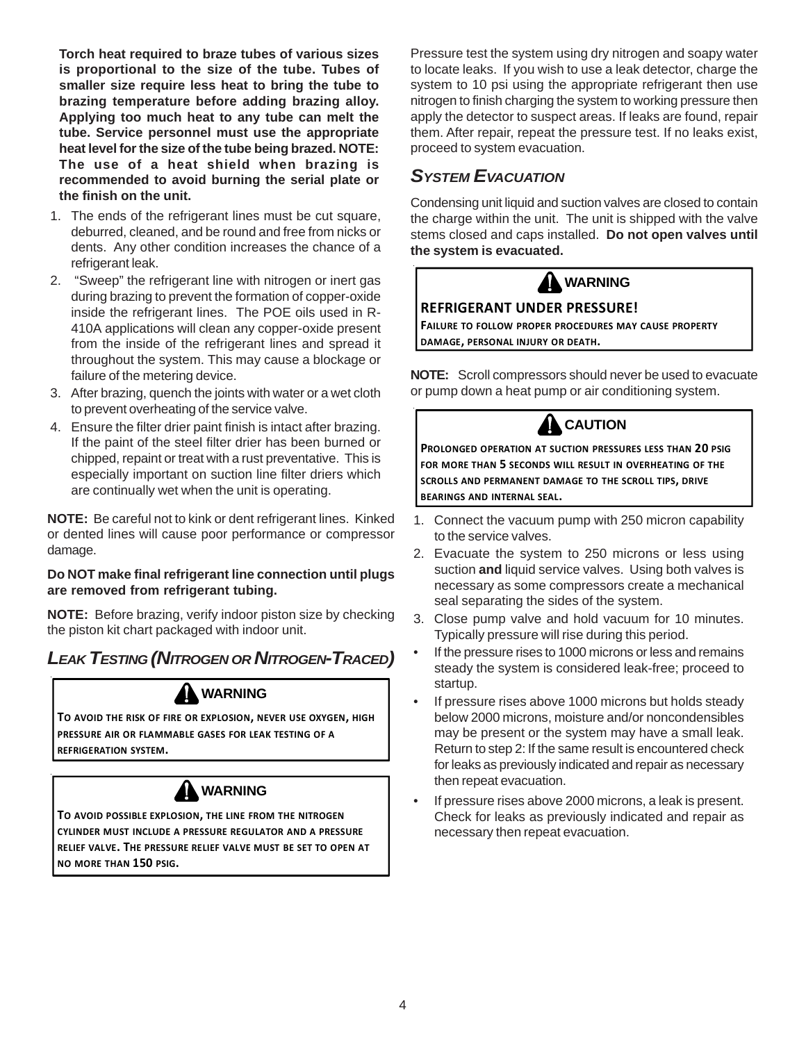**Torch heat required to braze tubes of various sizes is proportional to the size of the tube. Tubes of smaller size require less heat to bring the tube to brazing temperature before adding brazing alloy. Applying too much heat to any tube can melt the tube. Service personnel must use the appropriate heat level for the size of the tube being brazed. NOTE: The use of a heat shield when brazing is recommended to avoid burning the serial plate or the finish on the unit.**

- 1. The ends of the refrigerant lines must be cut square, deburred, cleaned, and be round and free from nicks or dents. Any other condition increases the chance of a refrigerant leak.
- 2. "Sweep" the refrigerant line with nitrogen or inert gas during brazing to prevent the formation of copper-oxide inside the refrigerant lines. The POE oils used in R-410A applications will clean any copper-oxide present from the inside of the refrigerant lines and spread it throughout the system. This may cause a blockage or failure of the metering device.
- 3. After brazing, quench the joints with water or a wet cloth to prevent overheating of the service valve.
- 4. Ensure the filter drier paint finish is intact after brazing. If the paint of the steel filter drier has been burned or chipped, repaint or treat with a rust preventative. This is especially important on suction line filter driers which are continually wet when the unit is operating.

**NOTE:** Be careful not to kink or dent refrigerant lines. Kinked or dented lines will cause poor performance or compressor damage.

#### **Do NOT make final refrigerant line connection until plugs are removed from refrigerant tubing.**

**NOTE:** Before brazing, verify indoor piston size by checking the piston kit chart packaged with indoor unit.

### *LEAK TESTING (NITROGEN OR NITROGEN-TRACED)*



**TO AVOID THE RISK OF FIRE OR EXPLOSION, NEVER USE OXYGEN, HIGH PRESSURE AIR OR FLAMMABLE GASES FOR LEAK TESTING OF A REFRIGERATION SYSTEM.**



**TO AVOID POSSIBLE EXPLOSION, THE LINE FROM THE NITROGEN CYLINDER MUST INCLUDE A PRESSURE REGULATOR AND A PRESSURE RELIEF VALVE. THE PRESSURE RELIEF VALVE MUST BE SET TO OPEN AT NO MORE THAN 150 PSIG.**

Pressure test the system using dry nitrogen and soapy water to locate leaks. If you wish to use a leak detector, charge the system to 10 psi using the appropriate refrigerant then use nitrogen to finish charging the system to working pressure then apply the detector to suspect areas. If leaks are found, repair them. After repair, repeat the pressure test. If no leaks exist, proceed to system evacuation.

#### *SYSTEM EVACUATION*

Condensing unit liquid and suction valves are closed to contain the charge within the unit. The unit is shipped with the valve stems closed and caps installed. **Do not open valves until the system is evacuated.**



#### **REFRIGERANT UNDER PRESSURE!**

**FAILURE TO FOLLOW PROPER PROCEDURES MAY CAUSE PROPERTY DAMAGE, PERSONAL INJURY OR DEATH.**

**NOTE:** Scroll compressors should never be used to evacuate or pump down a heat pump or air conditioning system.

### **CAUTION**

**PROLONGED OPERATION AT SUCTION PRESSURES LESS THAN 20 PSIG FOR MORE THAN 5 SECONDS WILL RESULT IN OVERHEATING OF THE SCROLLS AND PERMANENT DAMAGE TO THE SCROLL TIPS, DRIVE BEARINGS AND INTERNAL SEAL.**

- 1. Connect the vacuum pump with 250 micron capability to the service valves.
- 2. Evacuate the system to 250 microns or less using suction **and** liquid service valves. Using both valves is necessary as some compressors create a mechanical seal separating the sides of the system.
- 3. Close pump valve and hold vacuum for 10 minutes. Typically pressure will rise during this period.
- If the pressure rises to 1000 microns or less and remains steady the system is considered leak-free; proceed to startup.
- If pressure rises above 1000 microns but holds steady below 2000 microns, moisture and/or noncondensibles may be present or the system may have a small leak. Return to step 2: If the same result is encountered check for leaks as previously indicated and repair as necessary then repeat evacuation.
- If pressure rises above 2000 microns, a leak is present. Check for leaks as previously indicated and repair as necessary then repeat evacuation.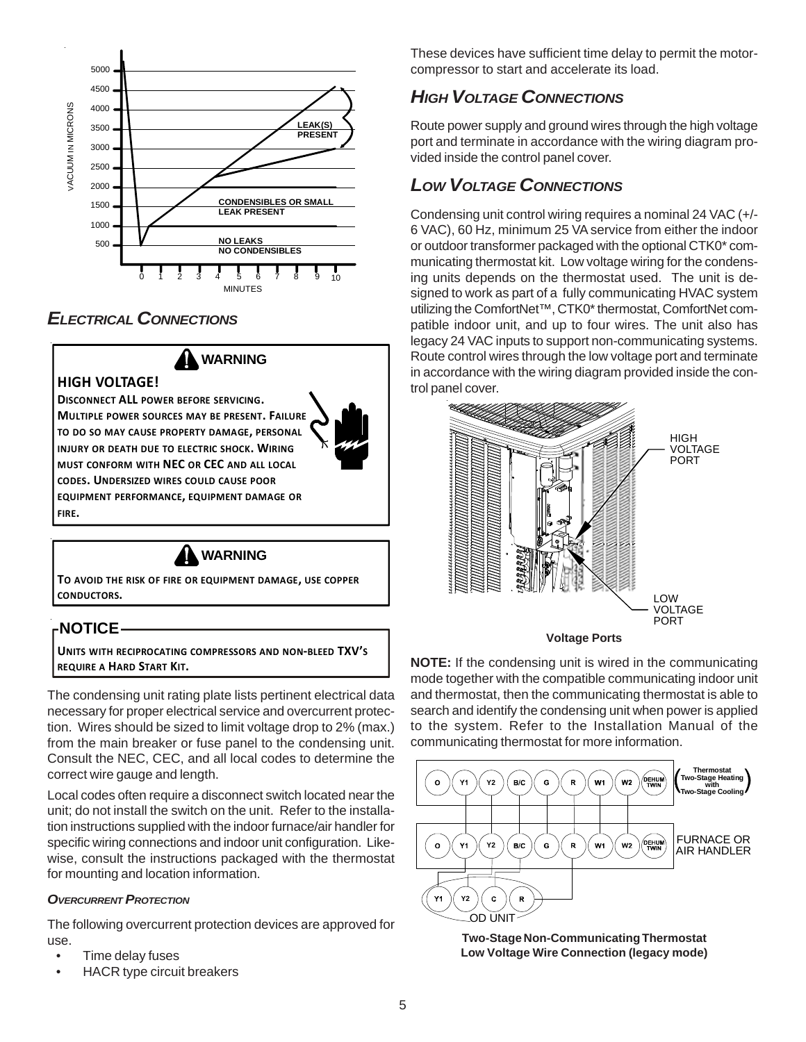

### *ELECTRICAL CONNECTIONS*



**HIGH VOLTAGE!**

**DISCONNECT ALL POWER BEFORE SERVICING. MULTIPLE POWER SOURCES MAY BE PRESENT. FAILURE TO DO SO MAY CAUSE PROPERTY DAMAGE, PERSONAL INJURY OR DEATH DUE TO ELECTRIC SHOCK. WIRING MUST CONFORM WITH NEC OR CEC AND ALL LOCAL CODES. UNDERSIZED WIRES COULD CAUSE POOR EQUIPMENT PERFORMANCE, EQUIPMENT DAMAGE OR FIRE.**



**TO AVOID THE RISK OF FIRE OR EQUIPMENT DAMAGE, USE COPPER CONDUCTORS.**

#### **NOTICE**

**UNITS WITH RECIPROCATING COMPRESSORS AND NON‐BLEED TXV'S REQUIRE A HARD START KIT.**

The condensing unit rating plate lists pertinent electrical data necessary for proper electrical service and overcurrent protection. Wires should be sized to limit voltage drop to 2% (max.) from the main breaker or fuse panel to the condensing unit. Consult the NEC, CEC, and all local codes to determine the correct wire gauge and length.

Local codes often require a disconnect switch located near the unit; do not install the switch on the unit. Refer to the installation instructions supplied with the indoor furnace/air handler for specific wiring connections and indoor unit configuration. Likewise, consult the instructions packaged with the thermostat for mounting and location information.

#### *OVERCURRENT PROTECTION*

The following overcurrent protection devices are approved for use.

- Time delay fuses
- HACR type circuit breakers

These devices have sufficient time delay to permit the motorcompressor to start and accelerate its load.

### *HIGH VOLTAGE CONNECTIONS*

Route power supply and ground wires through the high voltage port and terminate in accordance with the wiring diagram provided inside the control panel cover.

### *LOW VOLTAGE CONNECTIONS*

Condensing unit control wiring requires a nominal 24 VAC (+/- 6 VAC), 60 Hz, minimum 25 VA service from either the indoor or outdoor transformer packaged with the optional CTK0\* communicating thermostat kit. Low voltage wiring for the condensing units depends on the thermostat used. The unit is designed to work as part of a fully communicating HVAC system utilizing the ComfortNet™, CTK0\* thermostat, ComfortNet compatible indoor unit, and up to four wires. The unit also has legacy 24 VAC inputs to support non-communicating systems. Route control wires through the low voltage port and terminate in accordance with the wiring diagram provided inside the control panel cover.



**Voltage Ports**

**NOTE:** If the condensing unit is wired in the communicating mode together with the compatible communicating indoor unit and thermostat, then the communicating thermostat is able to search and identify the condensing unit when power is applied to the system. Refer to the Installation Manual of the communicating thermostat for more information.



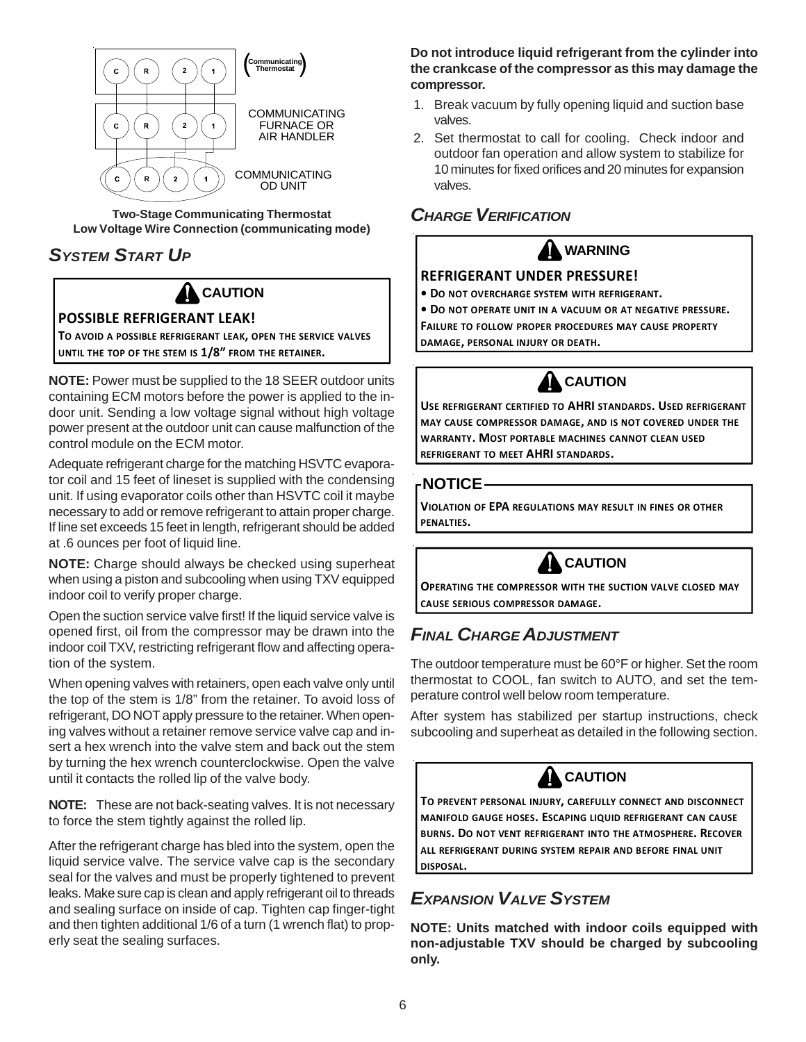

**Two-Stage Communicating Thermostat Low Voltage Wire Connection (communicating mode)**

### *SYSTEM START UP*

### **CAUTION**

#### **POSSIBLE REFRIGERANT LEAK!**

**TO AVOID A POSSIBLE REFRIGERANT LEAK, OPEN THE SERVICE VALVES UNTIL THE TOP OF THE STEM IS 1/8" FROM THE RETAINER.**

**NOTE:** Power must be supplied to the 18 SEER outdoor units containing ECM motors before the power is applied to the indoor unit. Sending a low voltage signal without high voltage power present at the outdoor unit can cause malfunction of the control module on the ECM motor.

Adequate refrigerant charge for the matching HSVTC evaporator coil and 15 feet of lineset is supplied with the condensing unit. If using evaporator coils other than HSVTC coil it maybe necessary to add or remove refrigerant to attain proper charge. If line set exceeds 15 feet in length, refrigerant should be added at .6 ounces per foot of liquid line.

**NOTE:** Charge should always be checked using superheat when using a piston and subcooling when using TXV equipped indoor coil to verify proper charge.

Open the suction service valve first! If the liquid service valve is opened first, oil from the compressor may be drawn into the indoor coil TXV, restricting refrigerant flow and affecting operation of the system.

When opening valves with retainers, open each valve only until the top of the stem is 1/8" from the retainer. To avoid loss of refrigerant, DO NOT apply pressure to the retainer. When opening valves without a retainer remove service valve cap and insert a hex wrench into the valve stem and back out the stem by turning the hex wrench counterclockwise. Open the valve until it contacts the rolled lip of the valve body.

**NOTE:** These are not back-seating valves. It is not necessary to force the stem tightly against the rolled lip.

After the refrigerant charge has bled into the system, open the liquid service valve. The service valve cap is the secondary seal for the valves and must be properly tightened to prevent leaks. Make sure cap is clean and apply refrigerant oil to threads and sealing surface on inside of cap. Tighten cap finger-tight and then tighten additional 1/6 of a turn (1 wrench flat) to properly seat the sealing surfaces.

**Do not introduce liquid refrigerant from the cylinder into the crankcase of the compressor as this may damage the compressor.**

- 1. Break vacuum by fully opening liquid and suction base valves.
- 2. Set thermostat to call for cooling. Check indoor and outdoor fan operation and allow system to stabilize for 10 minutes for fixed orifices and 20 minutes for expansion valves.

### *CHARGE VERIFICATION*

### **WARNING**

#### **REFRIGERANT UNDER PRESSURE!**

- **• DO NOT OVERCHARGE SYSTEM WITH REFRIGERANT.**
- **• DO NOT OPERATE UNIT IN A VACUUM OR AT NEGATIVE PRESSURE.**

**FAILURE TO FOLLOW PROPER PROCEDURES MAY CAUSE PROPERTY DAMAGE, PERSONAL INJURY OR DEATH.**



**USE REFRIGERANT CERTIFIED TO AHRI STANDARDS. USED REFRIGERANT MAY CAUSE COMPRESSOR DAMAGE, AND THE IS NOT COVERED UNDER WARRANTY. MOST PORTABLE MACHINES CANNOT CLEAN USED REFRIGERANT TO MEET AHRI STANDARDS.**

#### -NOTICE-

**VIOLATION OF EPA REGULATIONS MAY RESULT IN FINES OR OTHER PENALTIES.**

### **CAUTION**

**OPERATING THE COMPRESSOR WITH THE SUCTION VALVE CLOSED MAY CAUSE SERIOUS COMPRESSOR DAMAGE.**

### *FINAL CHARGE ADJUSTMENT*

The outdoor temperature must be 60°F or higher. Set the room thermostat to COOL, fan switch to AUTO, and set the temperature control well below room temperature.

After system has stabilized per startup instructions, check subcooling and superheat as detailed in the following section.

### **CAUTION**

**TO PREVENT PERSONAL INJURY, CAREFULLY CONNECT AND DISCONNECT MANIFOLD GAUGE HOSES. ESCAPING LIQUID REFRIGERANT CAN CAUSE BURNS. DO NOT VENT REFRIGERANT INTO THE ATMOSPHERE. RECOVER ALL REFRIGERANT DURING SYSTEM REPAIR AND BEFORE FINAL UNIT DISPOSAL.**

### *EXPANSION VALVE SYSTEM*

**NOTE: Units matched with indoor coils equipped with non-adjustable TXV should be charged by subcooling only.**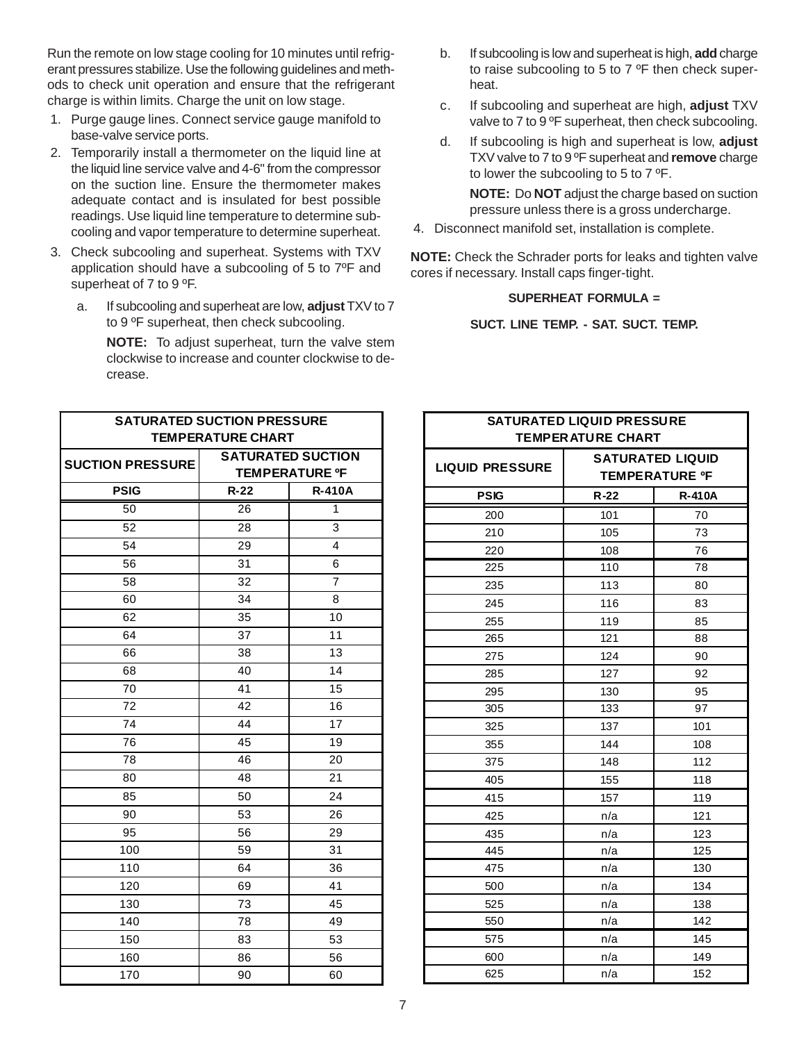Run the remote on low stage cooling for 10 minutes until refrigerant pressures stabilize. Use the following guidelines and methods to check unit operation and ensure that the refrigerant charge is within limits. Charge the unit on low stage.

- 1. Purge gauge lines. Connect service gauge manifold to base-valve service ports.
- 2. Temporarily install a thermometer on the liquid line at the liquid line service valve and 4-6" from the compressor on the suction line. Ensure the thermometer makes adequate contact and is insulated for best possible readings. Use liquid line temperature to determine subcooling and vapor temperature to determine superheat.
- 3. Check subcooling and superheat. Systems with TXV application should have a subcooling of 5 to 7ºF and superheat of 7 to 9 °F.
	- a. If subcooling and superheat are low, **adjust** TXV to 7 to 9 ºF superheat, then check subcooling.

**NOTE:** To adjust superheat, turn the valve stem clockwise to increase and counter clockwise to decrease.

| <b>SATURATED SUCTION PRESSURE</b><br><b>TEMPERATURE CHART</b> |        |                                                   |  |
|---------------------------------------------------------------|--------|---------------------------------------------------|--|
| <b>SUCTION PRESSURE</b>                                       |        | <b>SATURATED SUCTION</b><br><b>TEMPERATURE ºF</b> |  |
| <b>PSIG</b>                                                   | $R-22$ | <b>R-410A</b>                                     |  |
| 50                                                            | 26     | 1                                                 |  |
| 52                                                            | 28     | 3                                                 |  |
| 54                                                            | 29     | 4                                                 |  |
| 56                                                            | 31     | 6                                                 |  |
| 58                                                            | 32     | $\overline{7}$                                    |  |
| 60                                                            | 34     | 8                                                 |  |
| 62                                                            | 35     | 10                                                |  |
| 64                                                            | 37     | 11                                                |  |
| 66                                                            | 38     | 13                                                |  |
| 68                                                            | 40     | 14                                                |  |
| 70                                                            | 41     | 15                                                |  |
| 72                                                            | 42     | 16                                                |  |
| 74                                                            | 44     | 17                                                |  |
| 76                                                            | 45     | 19                                                |  |
| 78                                                            | 46     | 20                                                |  |
| 80                                                            | 48     | 21                                                |  |
| 85                                                            | 50     | 24                                                |  |
| 90                                                            | 53     | 26                                                |  |
| 95                                                            | 56     | 29                                                |  |
| 100                                                           | 59     | 31                                                |  |
| 110                                                           | 64     | 36                                                |  |
| 120                                                           | 69     | 41                                                |  |
| 130                                                           | 73     | 45                                                |  |
| 140                                                           | 78     | 49                                                |  |
| 150                                                           | 83     | 53                                                |  |
| 160                                                           | 86     | 56                                                |  |
| 170                                                           | 90     | 60                                                |  |

- b. If subcooling is low and superheat is high, **add** charge to raise subcooling to 5 to 7 ºF then check superheat.
- c. If subcooling and superheat are high, **adjust** TXV valve to 7 to 9 °F superheat, then check subcooling.
- d. If subcooling is high and superheat is low, **adjust** TXV valve to 7 to 9 ºF superheat and **remove** charge to lower the subcooling to 5 to 7 ºF.

**NOTE:** Do **NOT** adjust the charge based on suction pressure unless there is a gross undercharge.

4. Disconnect manifold set, installation is complete.

**NOTE:** Check the Schrader ports for leaks and tighten valve cores if necessary. Install caps finger-tight.

#### **SUPERHEAT FORMULA =**

#### **SUCT. LINE TEMP. - SAT. SUCT. TEMP.**

| <b>SATURATED LIQUID PRESSURE</b><br><b>TEMPERATURE CHART</b> |        |                                                  |  |
|--------------------------------------------------------------|--------|--------------------------------------------------|--|
| <b>LIQUID PRESSURE</b>                                       |        | <b>SATURATED LIQUID</b><br><b>TEMPERATURE OF</b> |  |
| <b>PSIG</b>                                                  | $R-22$ | <b>R-410A</b>                                    |  |
| 200                                                          | 101    | 70                                               |  |
| 210                                                          | 105    | 73                                               |  |
| 220                                                          | 108    | 76                                               |  |
| 225                                                          | 110    | 78                                               |  |
| 235                                                          | 113    | 80                                               |  |
| 245                                                          | 116    | 83                                               |  |
| 255                                                          | 119    | 85                                               |  |
| 265                                                          | 121    | 88                                               |  |
| 275                                                          | 124    | 90                                               |  |
| 285                                                          | 127    | 92                                               |  |
| 295                                                          | 130    | 95                                               |  |
| 305                                                          | 133    | 97                                               |  |
| 325                                                          | 137    | 101                                              |  |
| 355                                                          | 144    | 108                                              |  |
| 375                                                          | 148    | 112                                              |  |
| 405                                                          | 155    | 118                                              |  |
| 415                                                          | 157    | 119                                              |  |
| 425                                                          | n/a    | 121                                              |  |
| 435                                                          | n/a    | 123                                              |  |
| 445                                                          | n/a    | 125                                              |  |
| 475                                                          | n/a    | 130                                              |  |
| 500                                                          | n/a    | 134                                              |  |
| 525                                                          | n/a    | 138                                              |  |
| 550                                                          | n/a    | 142                                              |  |
| 575                                                          | n/a    | 145                                              |  |
| 600                                                          | n/a    | 149                                              |  |
| 625                                                          | n/a    | 152                                              |  |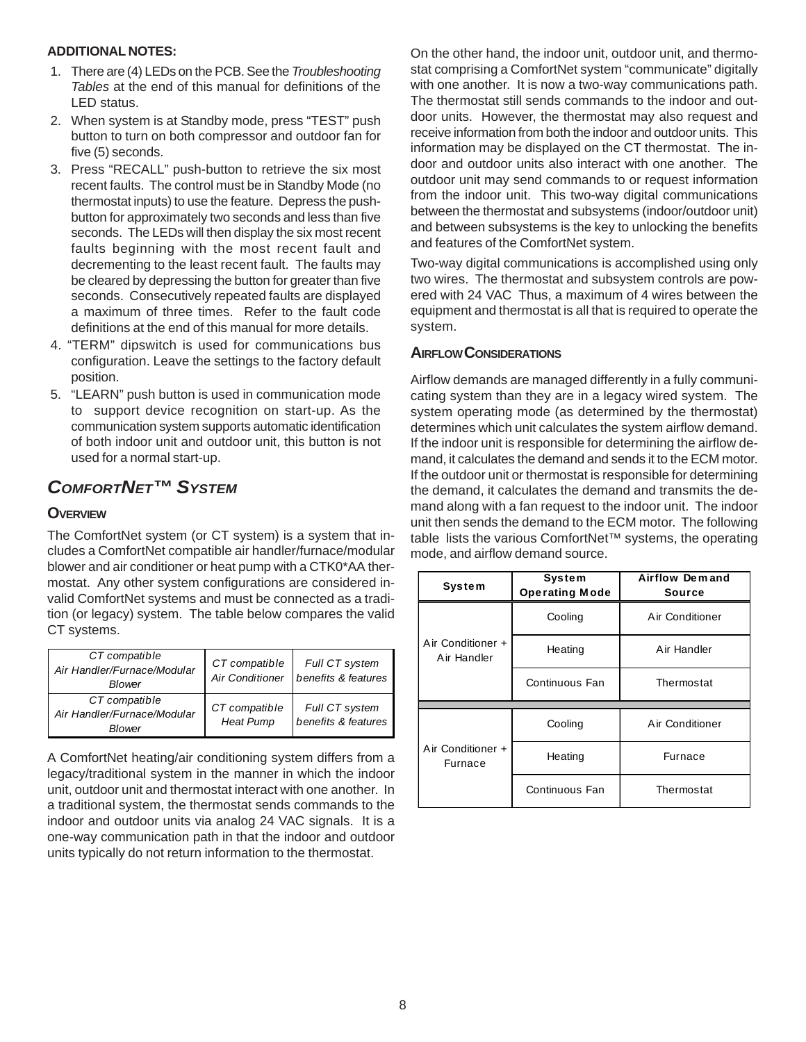#### **ADDITIONAL NOTES:**

- 1. There are (4) LEDs on the PCB. See the *Troubleshooting Tables* at the end of this manual for definitions of the LED status.
- 2. When system is at Standby mode, press "TEST" push button to turn on both compressor and outdoor fan for five (5) seconds.
- 3. Press "RECALL" push-button to retrieve the six most recent faults. The control must be in Standby Mode (no thermostat inputs) to use the feature. Depress the pushbutton for approximately two seconds and less than five seconds. The LEDs will then display the six most recent faults beginning with the most recent fault and decrementing to the least recent fault. The faults may be cleared by depressing the button for greater than five seconds. Consecutively repeated faults are displayed a maximum of three times. Refer to the fault code definitions at the end of this manual for more details.
- 4. "TERM" dipswitch is used for communications bus configuration. Leave the settings to the factory default position.
- 5. "LEARN" push button is used in communication mode to support device recognition on start-up. As the communication system supports automatic identification of both indoor unit and outdoor unit, this button is not used for a normal start-up.

### *COMFORTNET™ SYSTEM*

#### **OVERVIEW**

The ComfortNet system (or CT system) is a system that includes a ComfortNet compatible air handler/furnace/modular blower and air conditioner or heat pump with a CTK0\*AA thermostat. Any other system configurations are considered invalid ComfortNet systems and must be connected as a tradition (or legacy) system. The table below compares the valid CT systems.

| CT compatible<br>Air Handler/Furnace/Modular<br>Blower | CT compatible<br>Air Conditioner  | Full CT system<br>benefits & features |
|--------------------------------------------------------|-----------------------------------|---------------------------------------|
| CT compatible<br>Air Handler/Furnace/Modular<br>Blower | CT compatible<br><b>Heat Pump</b> | Full CT system<br>benefits & features |

A ComfortNet heating/air conditioning system differs from a legacy/traditional system in the manner in which the indoor unit, outdoor unit and thermostat interact with one another. In a traditional system, the thermostat sends commands to the indoor and outdoor units via analog 24 VAC signals. It is a one-way communication path in that the indoor and outdoor units typically do not return information to the thermostat.

On the other hand, the indoor unit, outdoor unit, and thermostat comprising a ComfortNet system "communicate" digitally with one another. It is now a two-way communications path. The thermostat still sends commands to the indoor and outdoor units. However, the thermostat may also request and receive information from both the indoor and outdoor units. This information may be displayed on the CT thermostat. The indoor and outdoor units also interact with one another. The outdoor unit may send commands to or request information from the indoor unit. This two-way digital communications between the thermostat and subsystems (indoor/outdoor unit) and between subsystems is the key to unlocking the benefits and features of the ComfortNet system.

Two-way digital communications is accomplished using only two wires. The thermostat and subsystem controls are powered with 24 VAC Thus, a maximum of 4 wires between the equipment and thermostat is all that is required to operate the system.

#### **AIRFLOW CONSIDERATIONS**

Airflow demands are managed differently in a fully communicating system than they are in a legacy wired system. The system operating mode (as determined by the thermostat) determines which unit calculates the system airflow demand. If the indoor unit is responsible for determining the airflow demand, it calculates the demand and sends it to the ECM motor. If the outdoor unit or thermostat is responsible for determining the demand, it calculates the demand and transmits the demand along with a fan request to the indoor unit. The indoor unit then sends the demand to the ECM motor. The following table lists the various ComfortNet™ systems, the operating mode, and airflow demand source.

| System                           | <b>System</b><br><b>Operating Mode</b> | Airflow Demand<br>Source |
|----------------------------------|----------------------------------------|--------------------------|
|                                  | Cooling                                | Air Conditioner          |
| Air Conditioner +<br>Air Handler | Heating                                | Air Handler              |
|                                  | Continuous Fan                         | Thermostat               |
|                                  |                                        |                          |
|                                  | Cooling                                | Air Conditioner          |
| Air Conditioner +<br>Furnace     | Heating                                | Furnace                  |
|                                  | Continuous Fan                         | Thermostat               |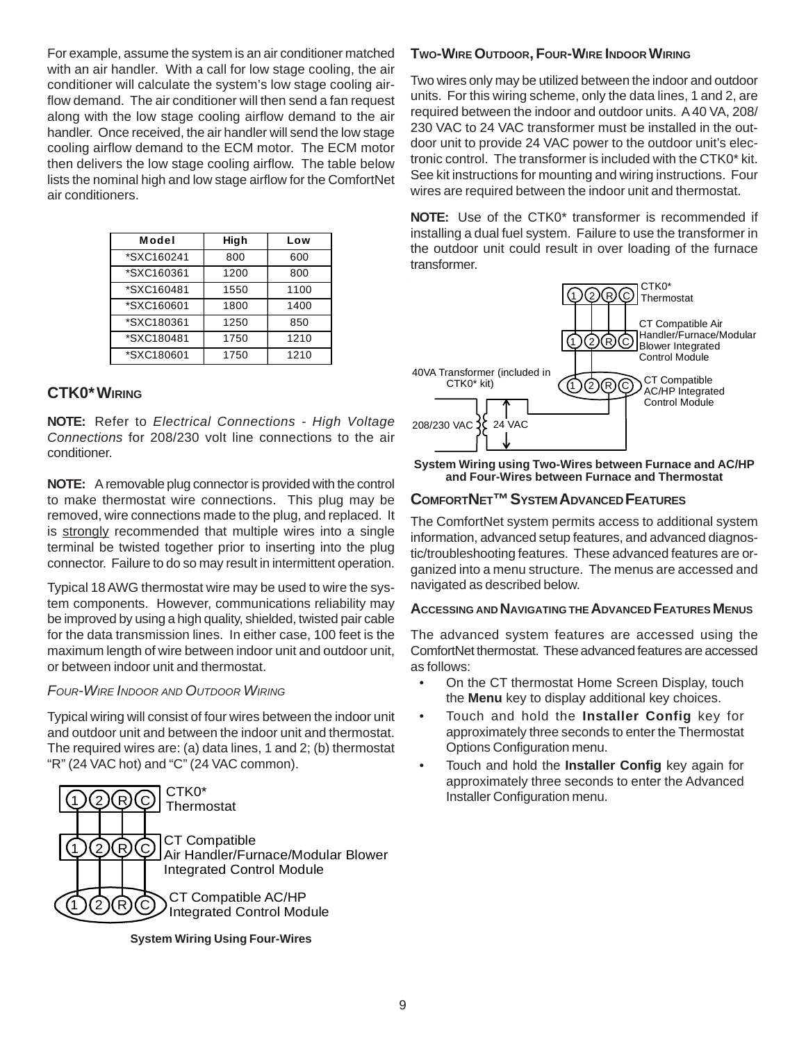For example, assume the system is an air conditioner matched with an air handler. With a call for low stage cooling, the air conditioner will calculate the system's low stage cooling airflow demand. The air conditioner will then send a fan request along with the low stage cooling airflow demand to the air handler. Once received, the air handler will send the low stage cooling airflow demand to the ECM motor. The ECM motor then delivers the low stage cooling airflow. The table below lists the nominal high and low stage airflow for the ComfortNet air conditioners.

| Model      | <b>High</b> | Low  |
|------------|-------------|------|
| *SXC160241 | 800         | 600  |
| *SXC160361 | 1200        | 800  |
| *SXC160481 | 1550        | 1100 |
| *SXC160601 | 1800        | 1400 |
| *SXC180361 | 1250        | 850  |
| *SXC180481 | 1750        | 1210 |
| *SXC180601 | 1750        | 1210 |

#### **CTK0\* WIRING**

**NOTE:** Refer to *Electrical Connections - High Voltage Connections* for 208/230 volt line connections to the air conditioner.

**NOTE:** A removable plug connector is provided with the control to make thermostat wire connections. This plug may be removed, wire connections made to the plug, and replaced. It is strongly recommended that multiple wires into a single terminal be twisted together prior to inserting into the plug connector. Failure to do so may result in intermittent operation.

Typical 18 AWG thermostat wire may be used to wire the system components. However, communications reliability may be improved by using a high quality, shielded, twisted pair cable for the data transmission lines. In either case, 100 feet is the maximum length of wire between indoor unit and outdoor unit, or between indoor unit and thermostat.

#### *FOUR-WIRE INDOOR AND OUTDOOR WIRING*

Typical wiring will consist of four wires between the indoor unit and outdoor unit and between the indoor unit and thermostat. The required wires are: (a) data lines, 1 and 2; (b) thermostat "R" (24 VAC hot) and "C" (24 VAC common).



**System Wiring Using Four-Wires**

#### **TWO-WIRE OUTDOOR, FOUR-WIRE INDOOR WIRING**

Two wires only may be utilized between the indoor and outdoor units. For this wiring scheme, only the data lines, 1 and 2, are required between the indoor and outdoor units. A 40 VA, 208/ 230 VAC to 24 VAC transformer must be installed in the outdoor unit to provide 24 VAC power to the outdoor unit's electronic control. The transformer is included with the CTK0\* kit. See kit instructions for mounting and wiring instructions. Four wires are required between the indoor unit and thermostat.

**NOTE:** Use of the CTK0\* transformer is recommended if installing a dual fuel system. Failure to use the transformer in the outdoor unit could result in over loading of the furnace transformer.



**System Wiring using Two-Wires between Furnace and AC/HP and Four-Wires between Furnace and Thermostat**

#### **COMFORTNET™ SYSTEM ADVANCED FEATURES**

The ComfortNet system permits access to additional system information, advanced setup features, and advanced diagnostic/troubleshooting features. These advanced features are organized into a menu structure. The menus are accessed and navigated as described below.

#### **ACCESSING AND NAVIGATING THE ADVANCED FEATURES MENUS**

The advanced system features are accessed using the ComfortNet thermostat. These advanced features are accessed as follows:

- On the CT thermostat Home Screen Display, touch the **Menu** key to display additional key choices.
- Touch and hold the **Installer Config** key for approximately three seconds to enter the Thermostat Options Configuration menu.
- Touch and hold the **Installer Config** key again for approximately three seconds to enter the Advanced Installer Configuration menu.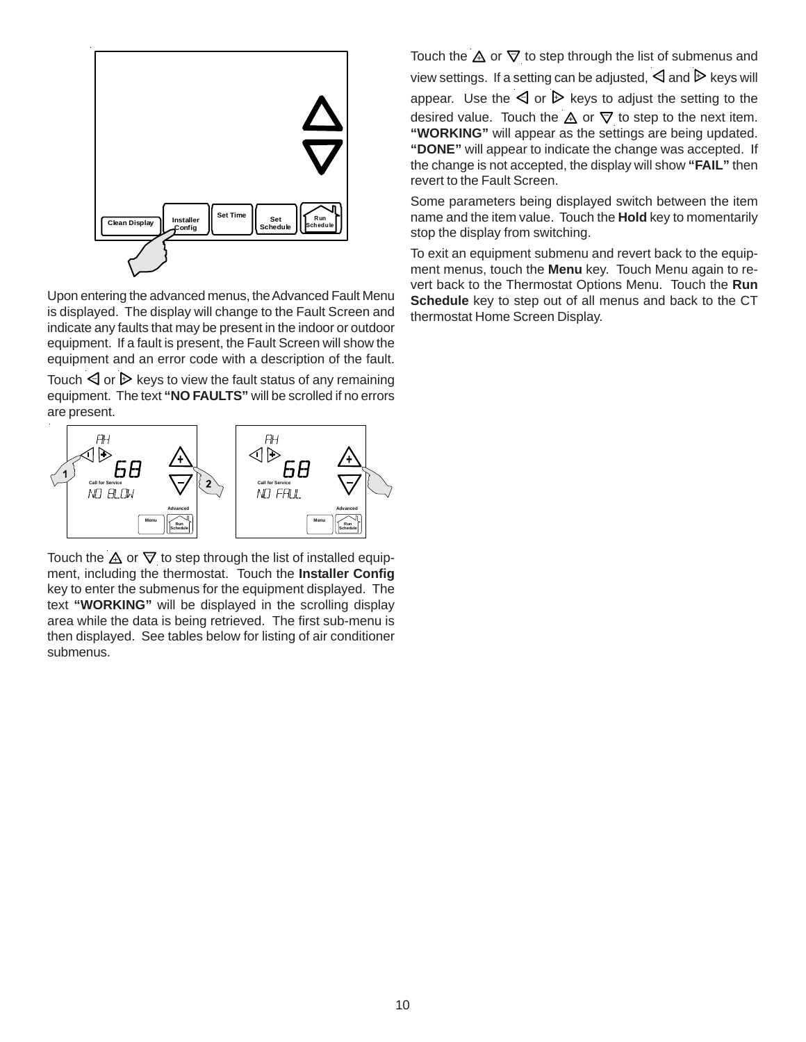

Upon entering the advanced menus, the Advanced Fault Menu is displayed. The display will change to the Fault Screen and indicate any faults that may be present in the indoor or outdoor equipment. If a fault is present, the Fault Screen will show the equipment and an error code with a description of the fault.

Touch  $\triangleleft$  or  $\triangleright$  keys to view the fault status of any remaining equipment. The text **"NO FAULTS"** will be scrolled if no errors are present.



Touch the  $\Delta$  or  $\nabla$  to step through the list of installed equipment, including the thermostat. Touch the **Installer Config** key to enter the submenus for the equipment displayed. The text **"WORKING"** will be displayed in the scrolling display area while the data is being retrieved. The first sub-menu is then displayed. See tables below for listing of air conditioner submenus.

Touch the  $\Delta$  or  $\nabla$  to step through the list of submenus and view settings. If a setting can be adjusted,  $\triangleleft$  and  $\triangleright$  keys will appear. Use the  $\triangleleft$  or  $\triangleright$  keys to adjust the setting to the desired value. Touch the  $\Delta$  or  $\nabla$  to step to the next item. **"WORKING"** will appear as the settings are being updated. **"DONE"** will appear to indicate the change was accepted. If the change is not accepted, the display will show **"FAIL"** then revert to the Fault Screen.

Some parameters being displayed switch between the item name and the item value. Touch the **Hold** key to momentarily stop the display from switching.

To exit an equipment submenu and revert back to the equipment menus, touch the **Menu** key. Touch Menu again to revert back to the Thermostat Options Menu. Touch the **Run Schedule** key to step out of all menus and back to the CT thermostat Home Screen Display.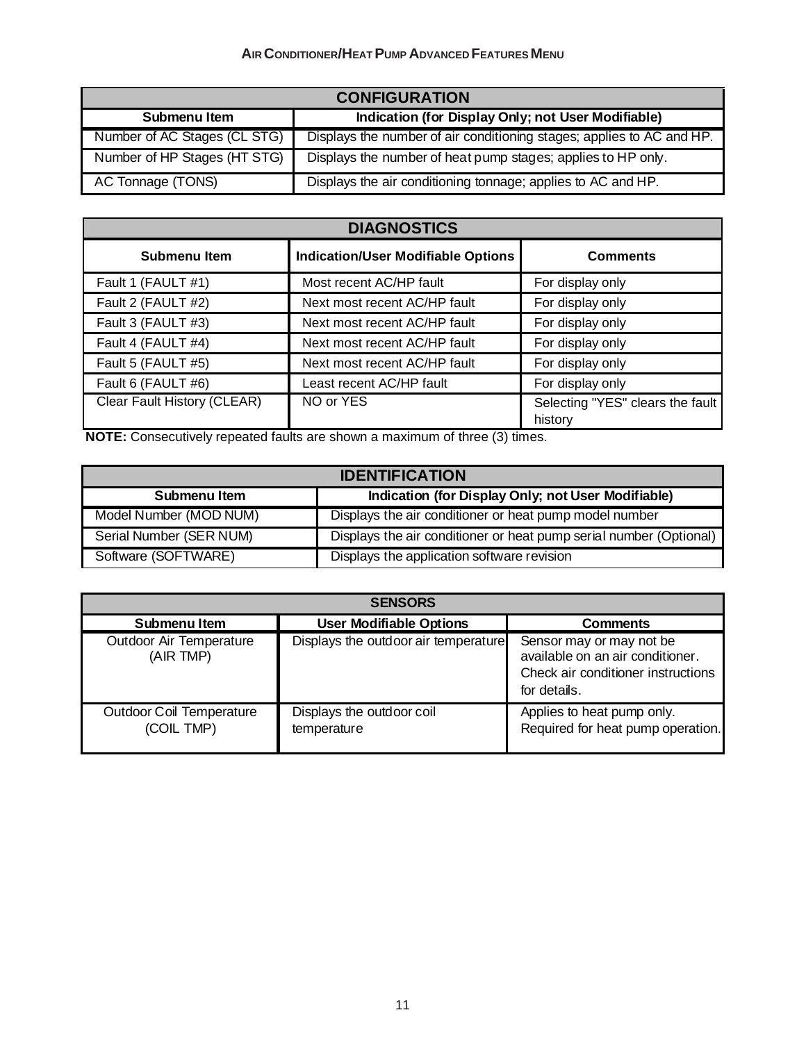| <b>CONFIGURATION</b>         |                                                                       |  |
|------------------------------|-----------------------------------------------------------------------|--|
| Submenu Item                 | Indication (for Display Only; not User Modifiable)                    |  |
| Number of AC Stages (CL STG) | Displays the number of air conditioning stages; applies to AC and HP. |  |
| Number of HP Stages (HT STG) | Displays the number of heat pump stages; applies to HP only.          |  |
| AC Tonnage (TONS)            | Displays the air conditioning tonnage; applies to AC and HP.          |  |

| <b>DIAGNOSTICS</b>                               |                                           |                                             |  |
|--------------------------------------------------|-------------------------------------------|---------------------------------------------|--|
| Submenu Item                                     | <b>Indication/User Modifiable Options</b> | <b>Comments</b>                             |  |
| Fault 1 (FAULT #1)                               | Most recent AC/HP fault                   | For display only                            |  |
| Fault 2 (FAULT #2)                               | Next most recent AC/HP fault              | For display only                            |  |
| Fault 3 (FAULT #3)                               | Next most recent AC/HP fault              | For display only                            |  |
| Fault 4 (FAULT #4)                               | Next most recent AC/HP fault              | For display only                            |  |
| Fault 5 (FAULT #5)                               | Next most recent AC/HP fault              | For display only                            |  |
| Fault 6 (FAULT #6)                               | Least recent AC/HP fault                  | For display only                            |  |
| Clear Fault History (CLEAR)<br>$\cdots$ $\cdots$ | NO or YES<br>$\sim$<br>$\sim$             | Selecting "YES" clears the fault<br>history |  |

**NOTE:** Consecutively repeated faults are shown a maximum of three (3) times.

| <b>IDENTIFICATION</b>   |                                                                    |  |
|-------------------------|--------------------------------------------------------------------|--|
| Submenu Item            | Indication (for Display Only; not User Modifiable)                 |  |
| Model Number (MOD NUM)  | Displays the air conditioner or heat pump model number             |  |
| Serial Number (SER NUM) | Displays the air conditioner or heat pump serial number (Optional) |  |
| Software (SOFTWARE)     | Displays the application software revision                         |  |

| <b>SENSORS</b>                                |                                          |                                                                                                                    |  |
|-----------------------------------------------|------------------------------------------|--------------------------------------------------------------------------------------------------------------------|--|
| Submenu Item                                  | <b>User Modifiable Options</b>           | <b>Comments</b>                                                                                                    |  |
| Outdoor Air Temperature<br>(AIR TMP)          | Displays the outdoor air temperature     | Sensor may or may not be<br>available on an air conditioner.<br>Check air conditioner instructions<br>for details. |  |
| <b>Outdoor Coil Temperature</b><br>(COIL TMP) | Displays the outdoor coil<br>temperature | Applies to heat pump only.<br>Required for heat pump operation.                                                    |  |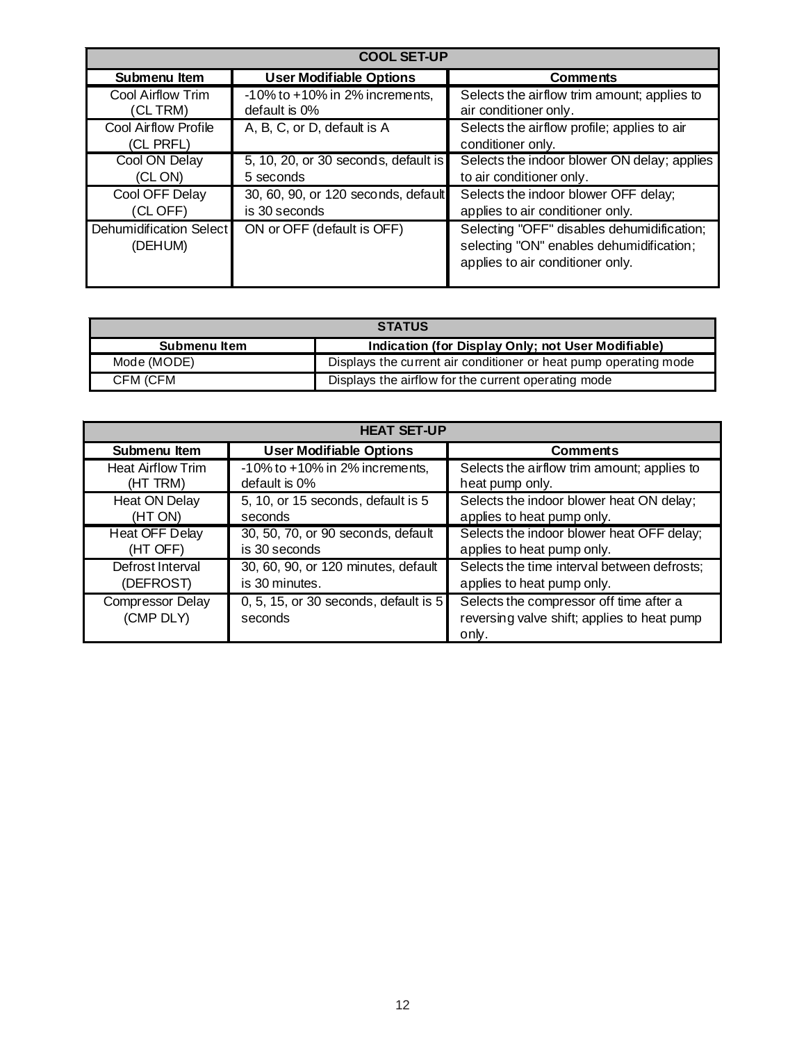| <b>COOL SET-UP</b>                 |                                                       |                                                                                                                            |  |
|------------------------------------|-------------------------------------------------------|----------------------------------------------------------------------------------------------------------------------------|--|
| Submenu Item                       | <b>User Modifiable Options</b>                        | <b>Comments</b>                                                                                                            |  |
| Cool Airflow Trim<br>(CL TRM)      | $-10\%$ to $+10\%$ in 2% increments,<br>default is 0% | Selects the airflow trim amount; applies to<br>air conditioner only.                                                       |  |
| Cool Airflow Profile<br>(CL PRFL)  | A, B, C, or D, default is A                           | Selects the airflow profile; applies to air<br>conditioner only.                                                           |  |
| Cool ON Delay<br>(CL ON)           | 5, 10, 20, or 30 seconds, default is<br>5 seconds     | Selects the indoor blower ON delay; applies<br>to air conditioner only.                                                    |  |
| Cool OFF Delay<br>(CL OFF)         | 30, 60, 90, or 120 seconds, default<br>is 30 seconds  | Selects the indoor blower OFF delay;<br>applies to air conditioner only.                                                   |  |
| Dehumidification Select<br>(DEHUM) | ON or OFF (default is OFF)                            | Selecting "OFF" disables dehumidification;<br>selecting "ON" enables dehumidification;<br>applies to air conditioner only. |  |

|              | <b>STATUS</b>                                                    |
|--------------|------------------------------------------------------------------|
| Submenu Item | Indication (for Display Only; not User Modifiable)               |
| Mode (MODE)  | Displays the current air conditioner or heat pump operating mode |
| CFM (CFM     | Displays the airflow for the current operating mode              |

|                                      | <b>HEAT SET-UP</b>                                 |                                                                                                 |
|--------------------------------------|----------------------------------------------------|-------------------------------------------------------------------------------------------------|
| Submenu Item                         | <b>User Modifiable Options</b>                     | <b>Comments</b>                                                                                 |
| <b>Heat Airflow Trim</b>             | $-10\%$ to $+10\%$ in 2% increments,               | Selects the airflow trim amount; applies to                                                     |
| (HT TRM)                             | default is 0%                                      | heat pump only.                                                                                 |
| Heat ON Delay                        | 5, 10, or 15 seconds, default is 5                 | Selects the indoor blower heat ON delay;                                                        |
| (HT ON)                              | seconds                                            | applies to heat pump only.                                                                      |
| <b>Heat OFF Delay</b>                | 30, 50, 70, or 90 seconds, default                 | Selects the indoor blower heat OFF delay;                                                       |
| (HT OFF)                             | is 30 seconds                                      | applies to heat pump only.                                                                      |
| Defrost Interval                     | 30, 60, 90, or 120 minutes, default                | Selects the time interval between defrosts;                                                     |
| (DEFROST)                            | is 30 minutes.                                     | applies to heat pump only.                                                                      |
| <b>Compressor Delay</b><br>(CMP DLY) | 0, 5, 15, or 30 seconds, default is $5$<br>seconds | Selects the compressor off time after a<br>reversing valve shift; applies to heat pump<br>only. |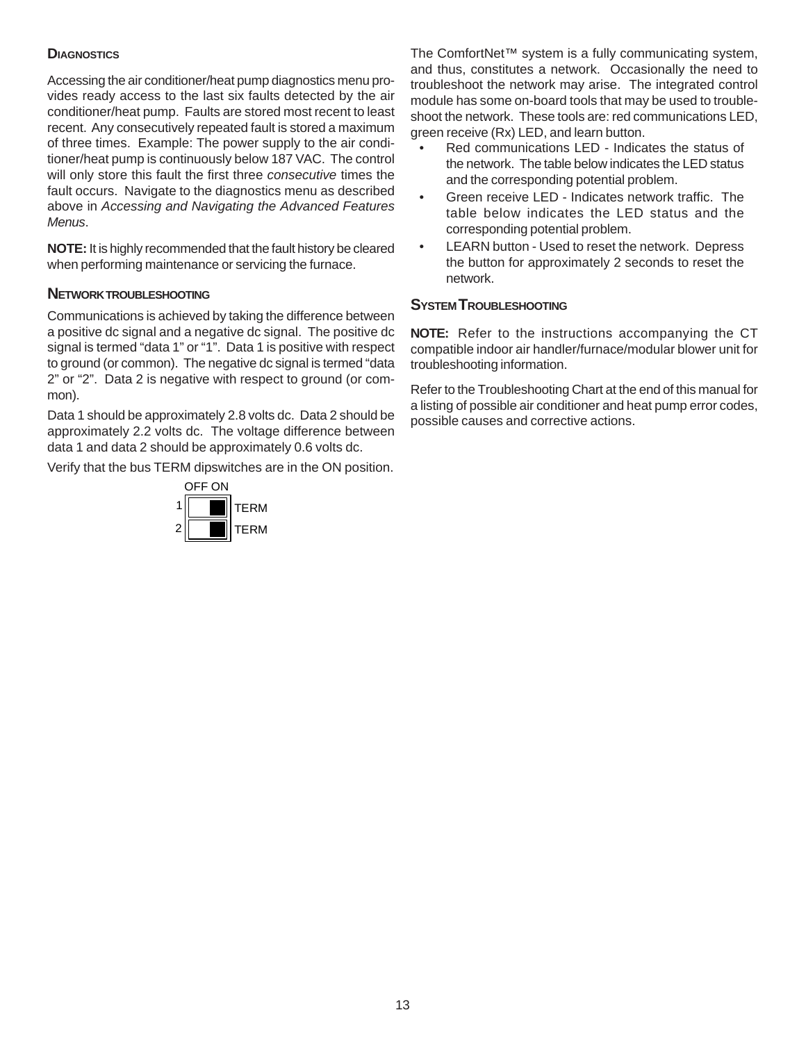#### **DIAGNOSTICS**

Accessing the air conditioner/heat pump diagnostics menu provides ready access to the last six faults detected by the air conditioner/heat pump. Faults are stored most recent to least recent. Any consecutively repeated fault is stored a maximum of three times. Example: The power supply to the air conditioner/heat pump is continuously below 187 VAC. The control will only store this fault the first three *consecutive* times the fault occurs. Navigate to the diagnostics menu as described above in *Accessing and Navigating the Advanced Features Menus*.

**NOTE:** It is highly recommended that the fault history be cleared when performing maintenance or servicing the furnace.

#### **NETWORKTROUBLESHOOTING**

Communications is achieved by taking the difference between a positive dc signal and a negative dc signal. The positive dc signal is termed "data 1" or "1". Data 1 is positive with respect to ground (or common). The negative dc signal is termed "data 2" or "2". Data 2 is negative with respect to ground (or common).

Data 1 should be approximately 2.8 volts dc. Data 2 should be approximately 2.2 volts dc. The voltage difference between data 1 and data 2 should be approximately 0.6 volts dc.

Verify that the bus TERM dipswitches are in the ON position.



The ComfortNet™ system is a fully communicating system, and thus, constitutes a network. Occasionally the need to troubleshoot the network may arise. The integrated control module has some on-board tools that may be used to troubleshoot the network. These tools are: red communications LED, green receive (Rx) LED, and learn button.

- Red communications LED Indicates the status of the network. The table below indicates the LED status and the corresponding potential problem.
- Green receive LED Indicates network traffic. The table below indicates the LED status and the corresponding potential problem.
- LEARN button Used to reset the network. Depress the button for approximately 2 seconds to reset the network.

#### **SYSTEM TROUBLESHOOTING**

**NOTE:** Refer to the instructions accompanying the CT compatible indoor air handler/furnace/modular blower unit for troubleshooting information.

Refer to the Troubleshooting Chart at the end of this manual for a listing of possible air conditioner and heat pump error codes, possible causes and corrective actions.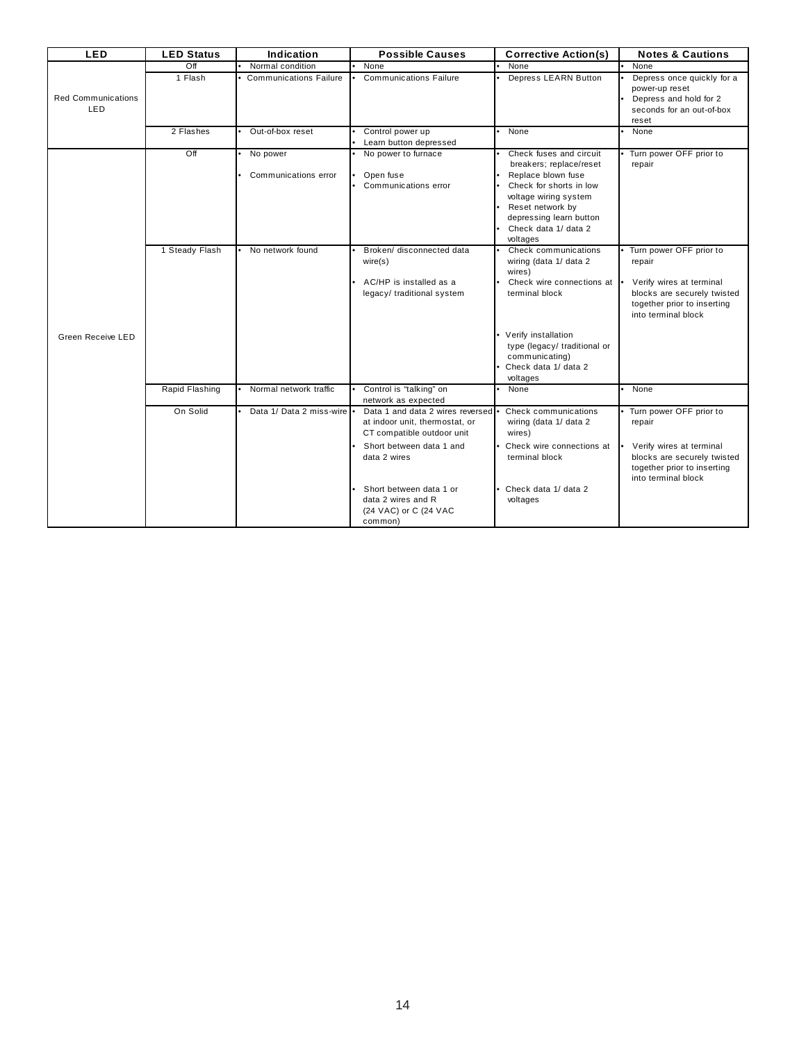| <b>LED</b>                              | <b>LED Status</b> | Indication                       | <b>Possible Causes</b>                                                                                                                         | <b>Corrective Action(s)</b>                                                                                                                                                                                          | <b>Notes &amp; Cautions</b>                                                                                                                        |
|-----------------------------------------|-------------------|----------------------------------|------------------------------------------------------------------------------------------------------------------------------------------------|----------------------------------------------------------------------------------------------------------------------------------------------------------------------------------------------------------------------|----------------------------------------------------------------------------------------------------------------------------------------------------|
|                                         | Off               | Normal condition                 | None                                                                                                                                           | None                                                                                                                                                                                                                 | None                                                                                                                                               |
| <b>Red Communications</b><br><b>LED</b> | 1 Flash           | <b>Communications Failure</b>    | <b>Communications Failure</b>                                                                                                                  | <b>Depress LEARN Button</b>                                                                                                                                                                                          | Depress once quickly for a<br>power-up reset<br>Depress and hold for 2<br>seconds for an out-of-box<br>reset                                       |
|                                         | 2 Flashes         | Out-of-box reset                 | Control power up<br>Learn button depressed                                                                                                     | None                                                                                                                                                                                                                 | None                                                                                                                                               |
|                                         | Off               | No power<br>Communications error | No power to furnace<br>Open fuse<br>Communications error                                                                                       | Check fuses and circuit<br>breakers; replace/reset<br>Replace blown fuse<br>Check for shorts in low<br>voltage wiring system<br>Reset network by<br>depressing learn button<br>Check data 1/ data 2<br>voltages      | Turn power OFF prior to<br>repair                                                                                                                  |
| Green Receive LED                       | 1 Steady Flash    | No network found                 | Broken/ disconnected data<br>wire(s)<br>AC/HP is installed as a<br>legacy/ traditional system                                                  | Check communications<br>wiring (data 1/ data 2<br>wires)<br>Check wire connections at<br>terminal block<br>Verify installation<br>type (legacy/ traditional or<br>communicating)<br>Check data 1/ data 2<br>voltages | Turn power OFF prior to<br>repair<br>Verify wires at terminal<br>blocks are securely twisted<br>together prior to inserting<br>into terminal block |
|                                         | Rapid Flashing    | Normal network traffic           | Control is "talking" on<br>network as expected                                                                                                 | None                                                                                                                                                                                                                 | None                                                                                                                                               |
|                                         | On Solid          | Data 1/ Data 2 miss-wire .       | Data 1 and data 2 wires reversed .<br>at indoor unit, thermostat, or<br>CT compatible outdoor unit<br>Short between data 1 and<br>data 2 wires | Check communications<br>wiring (data 1/ data 2<br>wires)<br>Check wire connections at<br>terminal block                                                                                                              | Turn power OFF prior to<br>repair<br>Verify wires at terminal<br>blocks are securely twisted<br>together prior to inserting<br>into terminal block |
|                                         |                   |                                  | Short between data 1 or<br>data 2 wires and R<br>(24 VAC) or C (24 VAC<br>common)                                                              | Check data 1/ data 2<br>voltages                                                                                                                                                                                     |                                                                                                                                                    |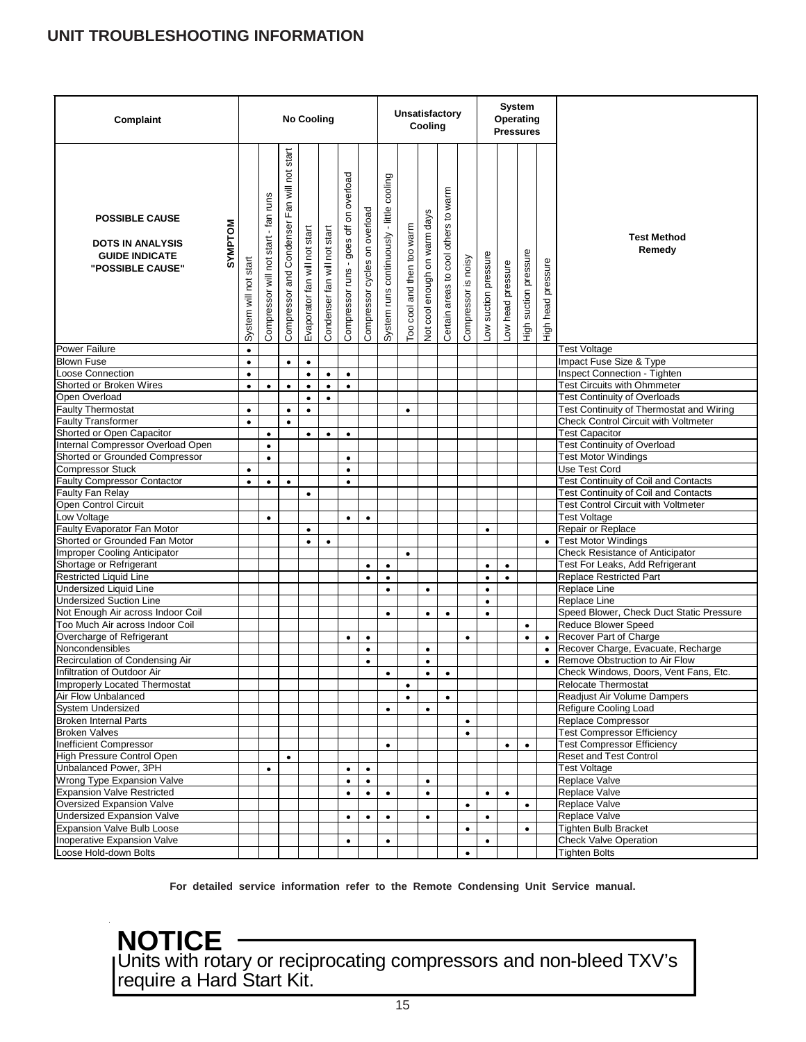#### **UNIT TROUBLESHOOTING INFORMATION**

| Complaint                                                                                     |                |                          |                                         |                                                | <b>No Cooling</b>             |                              |                                           |                               |                                           |                            | Unsatisfactory<br>Cooling    |                                      |                     |                      | Operating<br><b>Pressures</b> | System                |                    |                                                                |
|-----------------------------------------------------------------------------------------------|----------------|--------------------------|-----------------------------------------|------------------------------------------------|-------------------------------|------------------------------|-------------------------------------------|-------------------------------|-------------------------------------------|----------------------------|------------------------------|--------------------------------------|---------------------|----------------------|-------------------------------|-----------------------|--------------------|----------------------------------------------------------------|
| <b>POSSIBLE CAUSE</b><br><b>DOTS IN ANALYSIS</b><br><b>GUIDE INDICATE</b><br>"POSSIBLE CAUSE" | <b>MOLANNS</b> | start<br>System will not | - fan runs<br>Compressor will not start | start<br>Compressor and Condenser Fan will not | Evaporator fan will not start | Condenser fan will not start | - goes off on overload<br>Compressor runs | Compressor cycles on overload | System runs continuously - little cooling | Too cool and then too warm | Not cool enough on warm days | Certain areas to cool others to warm | Compressor is noisy | -ow suction pressure | Low head pressure             | High suction pressure | High head pressure | <b>Test Method</b><br>Remedy                                   |
| <b>Power Failure</b>                                                                          |                | $\bullet$                |                                         |                                                |                               |                              |                                           |                               |                                           |                            |                              |                                      |                     |                      |                               |                       |                    | <b>Test Voltage</b>                                            |
| <b>Blown Fuse</b><br><b>Loose Connection</b>                                                  |                | $\bullet$                |                                         | $\bullet$                                      | $\bullet$                     |                              |                                           |                               |                                           |                            |                              |                                      |                     |                      |                               |                       |                    | Impact Fuse Size & Type<br><b>Inspect Connection - Tighten</b> |
| Shorted or Broken Wires                                                                       |                | $\bullet$<br>$\bullet$   | $\bullet$                               | $\bullet$                                      | $\bullet$<br>$\bullet$        | $\bullet$<br>$\bullet$       | $\bullet$<br>$\bullet$                    |                               |                                           |                            |                              |                                      |                     |                      |                               |                       |                    | <b>Test Circuits with Ohmmeter</b>                             |
| Open Overload                                                                                 |                |                          |                                         |                                                | $\bullet$                     | $\bullet$                    |                                           |                               |                                           |                            |                              |                                      |                     |                      |                               |                       |                    | <b>Test Continuity of Overloads</b>                            |
| <b>Faulty Thermostat</b>                                                                      |                | $\bullet$                |                                         | $\bullet$                                      | $\bullet$                     |                              |                                           |                               |                                           | $\bullet$                  |                              |                                      |                     |                      |                               |                       |                    | Test Continuity of Thermostat and Wiring                       |
| <b>Faulty Transformer</b>                                                                     |                | $\bullet$                |                                         | $\bullet$                                      |                               |                              |                                           |                               |                                           |                            |                              |                                      |                     |                      |                               |                       |                    | <b>Check Control Circuit with Voltmeter</b>                    |
| Shorted or Open Capacitor                                                                     |                |                          | $\bullet$                               |                                                | $\bullet$                     | $\bullet$                    | $\bullet$                                 |                               |                                           |                            |                              |                                      |                     |                      |                               |                       |                    | <b>Test Capacitor</b>                                          |
| Internal Compressor Overload Open                                                             |                |                          | $\bullet$                               |                                                |                               |                              |                                           |                               |                                           |                            |                              |                                      |                     |                      |                               |                       |                    | <b>Test Continuity of Overload</b>                             |
| Shorted or Grounded Compressor                                                                |                |                          | $\bullet$                               |                                                |                               |                              | $\bullet$                                 |                               |                                           |                            |                              |                                      |                     |                      |                               |                       |                    | <b>Test Motor Windings</b>                                     |
| <b>Compressor Stuck</b>                                                                       |                | $\bullet$                |                                         |                                                |                               |                              | $\bullet$                                 |                               |                                           |                            |                              |                                      |                     |                      |                               |                       |                    | Use Test Cord                                                  |
| <b>Faulty Compressor Contactor</b>                                                            |                | $\bullet$                | $\bullet$                               | $\bullet$                                      |                               |                              | $\bullet$                                 |                               |                                           |                            |                              |                                      |                     |                      |                               |                       |                    | <b>Test Continuity of Coil and Contacts</b>                    |
| Faulty Fan Relay                                                                              |                |                          |                                         |                                                | $\bullet$                     |                              |                                           |                               |                                           |                            |                              |                                      |                     |                      |                               |                       |                    | Test Continuity of Coil and Contacts                           |
| Open Control Circuit                                                                          |                |                          |                                         |                                                |                               |                              |                                           |                               |                                           |                            |                              |                                      |                     |                      |                               |                       |                    | <b>Test Control Circuit with Voltmeter</b>                     |
| Low Voltage                                                                                   |                |                          | $\bullet$                               |                                                |                               |                              | $\bullet$                                 | $\bullet$                     |                                           |                            |                              |                                      |                     |                      |                               |                       |                    | <b>Test Voltage</b>                                            |
| Faulty Evaporator Fan Motor<br>Shorted or Grounded Fan Motor                                  |                |                          |                                         |                                                | $\bullet$<br>$\bullet$        | $\bullet$                    |                                           |                               |                                           |                            |                              |                                      |                     | $\bullet$            |                               |                       | $\bullet$          | Repair or Replace<br><b>Test Motor Windings</b>                |
| Improper Cooling Anticipator                                                                  |                |                          |                                         |                                                |                               |                              |                                           |                               |                                           | $\bullet$                  |                              |                                      |                     |                      |                               |                       |                    | <b>Check Resistance of Anticipator</b>                         |
| Shortage or Refrigerant                                                                       |                |                          |                                         |                                                |                               |                              |                                           | ٠                             | $\bullet$                                 |                            |                              |                                      |                     | $\bullet$            | $\bullet$                     |                       |                    | Test For Leaks, Add Refrigerant                                |
| Restricted Liquid Line                                                                        |                |                          |                                         |                                                |                               |                              |                                           | $\bullet$                     | $\bullet$                                 |                            |                              |                                      |                     | $\bullet$            | $\bullet$                     |                       |                    | <b>Replace Restricted Part</b>                                 |
| <b>Undersized Liquid Line</b>                                                                 |                |                          |                                         |                                                |                               |                              |                                           |                               | $\bullet$                                 |                            | $\bullet$                    |                                      |                     | $\bullet$            |                               |                       |                    | Replace Line                                                   |
| <b>Undersized Suction Line</b>                                                                |                |                          |                                         |                                                |                               |                              |                                           |                               |                                           |                            |                              |                                      |                     | $\bullet$            |                               |                       |                    | Replace Line                                                   |
| Not Enough Air across Indoor Coil                                                             |                |                          |                                         |                                                |                               |                              |                                           |                               | $\bullet$                                 |                            | $\bullet$                    | $\bullet$                            |                     | $\bullet$            |                               |                       |                    | Speed Blower, Check Duct Static Pressure                       |
| Too Much Air across Indoor Coil                                                               |                |                          |                                         |                                                |                               |                              |                                           |                               |                                           |                            |                              |                                      |                     |                      |                               | $\bullet$             |                    | <b>Reduce Blower Speed</b>                                     |
| Overcharge of Refrigerant                                                                     |                |                          |                                         |                                                |                               |                              | $\bullet$                                 | $\bullet$                     |                                           |                            |                              |                                      | $\bullet$           |                      |                               | $\bullet$             | $\bullet$          | Recover Part of Charge                                         |
| Noncondensibles                                                                               |                |                          |                                         |                                                |                               |                              |                                           | $\bullet$                     |                                           |                            | $\bullet$                    |                                      |                     |                      |                               |                       | $\bullet$          | Recover Charge, Evacuate, Recharge                             |
| Recirculation of Condensing Air                                                               |                |                          |                                         |                                                |                               |                              |                                           | $\bullet$                     |                                           |                            | $\bullet$                    |                                      |                     |                      |                               |                       | $\bullet$          | Remove Obstruction to Air Flow                                 |
| Infiltration of Outdoor Air                                                                   |                |                          |                                         |                                                |                               |                              |                                           |                               | $\bullet$                                 |                            | $\bullet$                    | $\bullet$                            |                     |                      |                               |                       |                    | Check Windows, Doors, Vent Fans, Etc.                          |
| <b>Improperly Located Thermostat</b>                                                          |                |                          |                                         |                                                |                               |                              |                                           |                               |                                           | ٠                          |                              |                                      |                     |                      |                               |                       |                    | Relocate Thermostat                                            |
| Air Flow Unbalanced<br><b>System Undersized</b>                                               |                |                          |                                         |                                                |                               |                              |                                           |                               | $\bullet$                                 | $\bullet$                  | $\bullet$                    | $\bullet$                            |                     |                      |                               |                       |                    | Readjust Air Volume Dampers<br>Refigure Cooling Load           |
| <b>Broken Internal Parts</b>                                                                  |                |                          |                                         |                                                |                               |                              |                                           |                               |                                           |                            |                              |                                      | $\bullet$           |                      |                               |                       |                    | Replace Compressor                                             |
| <b>Broken Valves</b>                                                                          |                |                          |                                         |                                                |                               |                              |                                           |                               |                                           |                            |                              |                                      | $\bullet$           |                      |                               |                       |                    | <b>Test Compressor Efficiency</b>                              |
| <b>Inefficient Compressor</b>                                                                 |                |                          |                                         |                                                |                               |                              |                                           |                               | $\bullet$                                 |                            |                              |                                      |                     |                      | $\bullet$                     | $\bullet$             |                    | <b>Test Compressor Efficiency</b>                              |
| High Pressure Control Open                                                                    |                |                          |                                         | $\bullet$                                      |                               |                              |                                           |                               |                                           |                            |                              |                                      |                     |                      |                               |                       |                    | <b>Reset and Test Control</b>                                  |
| Unbalanced Power, 3PH                                                                         |                |                          | $\bullet$                               |                                                |                               |                              | $\bullet$                                 | $\bullet$                     |                                           |                            |                              |                                      |                     |                      |                               |                       |                    | <b>Test Voltage</b>                                            |
| Wrong Type Expansion Valve                                                                    |                |                          |                                         |                                                |                               |                              | $\bullet$                                 | $\bullet$                     |                                           |                            | $\bullet$                    |                                      |                     |                      |                               |                       |                    | Replace Valve                                                  |
| <b>Expansion Valve Restricted</b>                                                             |                |                          |                                         |                                                |                               |                              | $\bullet$                                 | $\bullet$                     | $\bullet$                                 |                            | $\bullet$                    |                                      |                     | $\bullet$            | $\bullet$                     |                       |                    | Replace Valve                                                  |
| Oversized Expansion Valve                                                                     |                |                          |                                         |                                                |                               |                              |                                           |                               |                                           |                            |                              |                                      | $\bullet$           |                      |                               | $\bullet$             |                    | Replace Valve                                                  |
| <b>Undersized Expansion Valve</b>                                                             |                |                          |                                         |                                                |                               |                              | $\bullet$                                 | $\bullet$                     | $\bullet$                                 |                            | $\bullet$                    |                                      |                     | $\bullet$            |                               |                       |                    | Replace Valve                                                  |
| <b>Expansion Valve Bulb Loose</b>                                                             |                |                          |                                         |                                                |                               |                              |                                           |                               |                                           |                            |                              |                                      | $\bullet$           |                      |                               | $\bullet$             |                    | <b>Tighten Bulb Bracket</b>                                    |
| Inoperative Expansion Valve                                                                   |                |                          |                                         |                                                |                               |                              | $\bullet$                                 |                               | ٠                                         |                            |                              |                                      |                     | $\bullet$            |                               |                       |                    | Check Valve Operation                                          |
| Loose Hold-down Bolts                                                                         |                |                          |                                         |                                                |                               |                              |                                           |                               |                                           |                            |                              |                                      | $\bullet$           |                      |                               |                       |                    | <b>Tighten Bolts</b>                                           |

**For detailed service information refer to the Remote Condensing Unit Service manual.**

**NOTICE** Units with rotary or reciprocating compressors and non-bleed TXV's require a Hard Start Kit.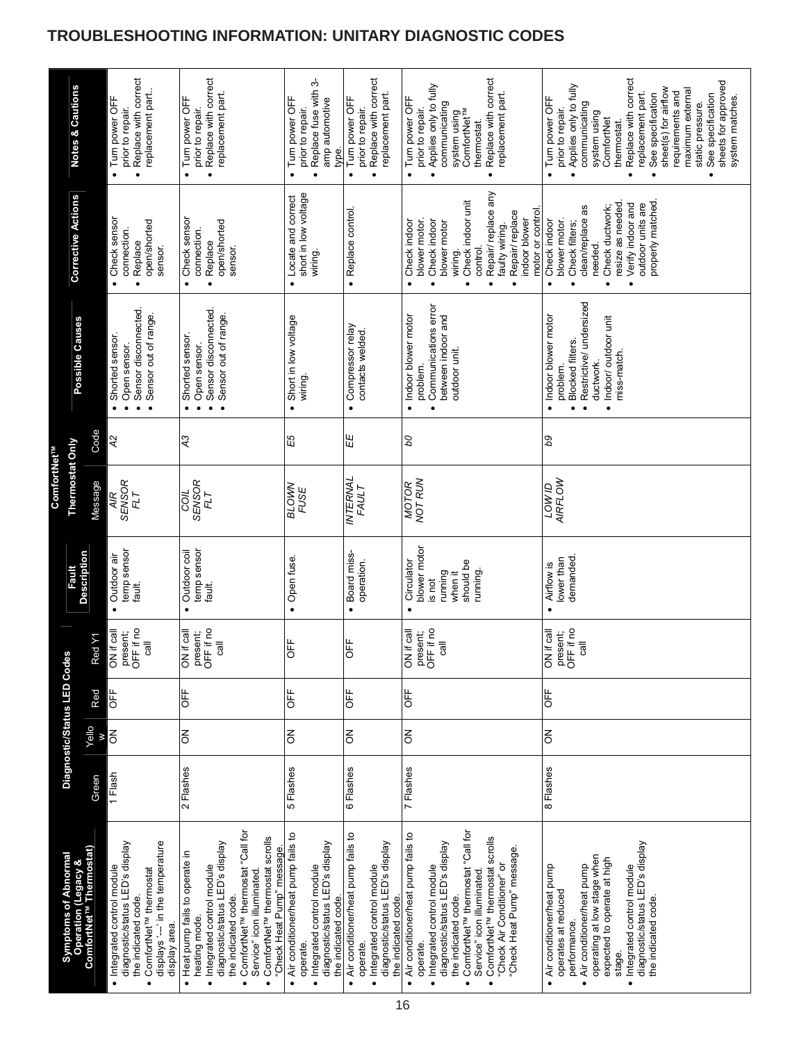| Symptoms of Abnorma                                                                                                                                                                                                                                                                                                                         |           |                      | Diagnostic/Status LED Code |                                                       |                                                                                                  | <b>ComfortNet IM</b>         |                |                                                                                                                                              |                                                                                                                                                                                                                                                    |                                                                                                                                                                                                                                                                                                                                                                                     |
|---------------------------------------------------------------------------------------------------------------------------------------------------------------------------------------------------------------------------------------------------------------------------------------------------------------------------------------------|-----------|----------------------|----------------------------|-------------------------------------------------------|--------------------------------------------------------------------------------------------------|------------------------------|----------------|----------------------------------------------------------------------------------------------------------------------------------------------|----------------------------------------------------------------------------------------------------------------------------------------------------------------------------------------------------------------------------------------------------|-------------------------------------------------------------------------------------------------------------------------------------------------------------------------------------------------------------------------------------------------------------------------------------------------------------------------------------------------------------------------------------|
| Operation (Legacy &<br>ComfortNet™ Thermostat)                                                                                                                                                                                                                                                                                              |           |                      |                            |                                                       | <b>Description</b><br><b>Fault</b>                                                               | Thermostat Only              |                | Possible Causes                                                                                                                              | <b>Corrective Actions</b>                                                                                                                                                                                                                          | <b>Notes &amp; Cautions</b>                                                                                                                                                                                                                                                                                                                                                         |
|                                                                                                                                                                                                                                                                                                                                             | Green     | Yello<br>×           | Red                        | Red Y1                                                |                                                                                                  | Message                      | Code           |                                                                                                                                              |                                                                                                                                                                                                                                                    |                                                                                                                                                                                                                                                                                                                                                                                     |
| displays '---' in the temperature<br>diagnostic/status LED's display<br>Integrated control module<br>ComfortNet <sup>TM</sup> thermostat<br>the indicated code.<br>display area.                                                                                                                                                            | 1 Flash   | š                    | <b>SFF</b>                 | present;<br>OFF if no<br>ON if call<br>$\overline{5}$ | temp sensor<br>Outdoor air<br>fault.<br>$\bullet$                                                | AIR<br>SENSOR<br>FLT         | $\approx$      | · Sensor disconnected.<br>Sensor out of range.<br>Shorted sensor.<br>· Open sensor.                                                          | • Check sensor<br>open/shorted<br>connection.<br>Replace<br>sensor.<br>$\bullet$                                                                                                                                                                   | Replace with correct<br>replacement part<br>· Turn power OFF<br>prior to repair.<br>$\bullet$                                                                                                                                                                                                                                                                                       |
| ComfortNet <sup>TM</sup> thermostat "Call for<br>ComfortNet <sup>TM</sup> thermostat scrolls<br>diagnostic/status LED's display<br>"Check Heat Pump" message.<br>Heat pump fails to operate in<br>Integrated control module<br>Service" icon illuminated<br>the indicated code.<br>heating mode.                                            | 2 Flashes | $\frac{2}{\sqrt{2}}$ | <b>OFF</b>                 | present;<br>OFF if no<br>ON if call<br>$\overline{5}$ | temp sensor<br>Outdoor coil<br>fault.<br>$\bullet$                                               | <b>SENSOR</b><br>COIL<br>FLT | $\mathcal{A}3$ | Sensor disconnected.<br>· Sensor out of range.<br>Shorted sensor.<br>Open sensor.<br>$\bullet$                                               | Check sensor<br>open/shorted<br>connection.<br>Replace<br>sensor.<br>$\bullet$<br>$\bullet$                                                                                                                                                        | Replace with correct<br>replacement part.<br>· Turn power OFF<br>prior to repair.<br>$\bullet$                                                                                                                                                                                                                                                                                      |
| Air conditioner/heat pump fails to<br>diagnostic/status LED's display<br>Integrated control module<br>the indicated code.<br>operate.<br>$\bullet$                                                                                                                                                                                          | 5 Flashes | š                    | 出<br>0                     | UFF                                                   | · Open fuse.                                                                                     | <b>BLOWN</b><br>FUSE         | Е5             | · Short in low voltage<br>wiring.                                                                                                            | short in low voltage<br>• Locate and correct<br>wiring.                                                                                                                                                                                            | Replace fuse with 3-<br>Turn power OFF<br>amp automotive<br>prior to repair.<br>type.<br>$\bullet$                                                                                                                                                                                                                                                                                  |
| • Air conditioner/heat pump fails to<br>diagnostic/status LED's display<br>Integrated control module<br>the indicated code.<br>operate.                                                                                                                                                                                                     | 6 Flashes | $\overline{5}$       | 岀<br>0F                    | OFF                                                   | • Board miss-<br>operation.                                                                      | <b>INTERNAL</b><br>FAULT     | ΕE             | • Compressor relay<br>contacts welded.                                                                                                       | · Replace control.                                                                                                                                                                                                                                 | Replace with correct<br>replacement part.<br>· Turn power OFF<br>prior to repair.                                                                                                                                                                                                                                                                                                   |
| ComfortNet <sup>TM</sup> thermostat "Call for<br>Air conditioner/heat pump fails to<br>ComfortNet <sup>TM</sup> thermostat scrolls<br>diagnostic/status LED's display<br>"Check Air Conditioner" or<br>"Check Heat Pump" message.<br>Integrated control module<br>Service" icon illuminated<br>the indicated code.<br>operate.<br>$\bullet$ | 7 Flashes | $\overline{6}$       | UFF                        | present;<br>OFF if no<br>ON if call<br>$\overline{5}$ | blower motor<br>should be<br>Circulator<br>running.<br>running<br>when it<br>is not<br>$\bullet$ | MOT RUN<br>NOT RUN           | DО             | Communications error<br>· Indoor blower motor<br>between indoor and<br>outdoor unit.<br>problem.                                             | Repair/ replace any<br>Check indoor unit<br>motor or control.<br>Repair/ replace<br>Check indoor<br>blower motor.<br>indoor blower<br>Check indoor<br>blower motor<br>faulty wiring.<br>control.<br>wiring.<br>$\bullet$<br>$\bullet$<br>$\bullet$ | Replace with correct<br>Applies only to fully<br>replacement part.<br>Turn power OFI<br>communicating<br>prior to repair.<br>ComfortNet <sup>TM</sup><br>system using<br>thermostat<br>$\bullet$<br>$\bullet$                                                                                                                                                                       |
| diagnostic/status LED's display<br>operating at low stage when<br>expected to operate at high<br>Air conditioner/heat pump<br>Integrated control module<br>Air conditioner/heat pump<br>operates at reduced<br>the indicated code.<br>performance.<br>stage.                                                                                | 8 Flashes | š                    | 出<br>05                    | present;<br>OFF if no<br>ON if call<br>$\overline{a}$ | demanded<br>lower than<br>Airflow is<br>$\bullet$                                                | AIRFLOW<br><b>UMO1</b>       | 69             | Restrictive/ undersized<br>· Indoor blower motor<br>· Indoor/ outdoor unit<br><b>Blocked filters</b><br>miss-match.<br>ductwork.<br>problem. | properly matched<br>resize as needed<br>Verify indoor and<br>outdoor units are<br>Check ductwork;<br>clean/replace as<br>Check indoor<br>blower motor.<br>Check filters;<br>needed<br>$\bullet$<br>$\bullet$<br>$\bullet$<br>$\bullet$             | Replace with correct<br>sheets for approved<br>Applies only to fully<br>sheet(s) for airflow<br>maximum external<br>requirements and<br>replacement part.<br>See specification<br>See specification<br>system matches<br>Turn power OFF<br>static pressure.<br>communicating<br>prior to repair.<br>system using<br>ComfortNet<br>thermostat<br>$\bullet$<br>$\bullet$<br>$\bullet$ |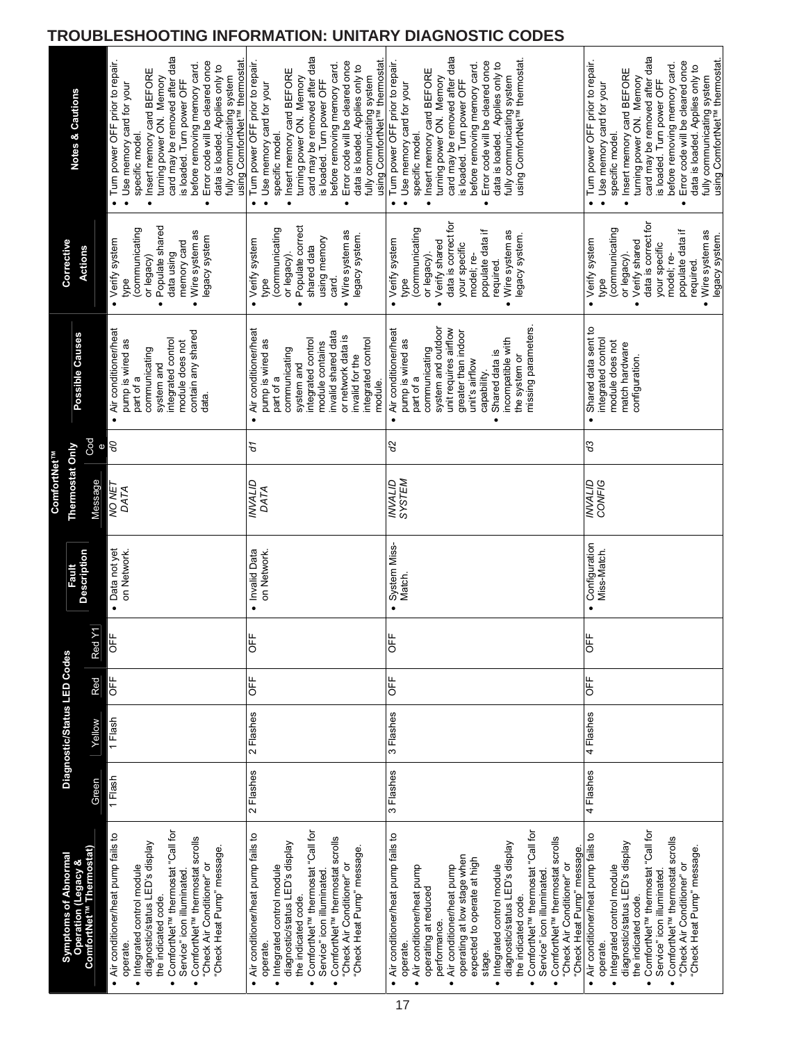|                                                                                                                                                                                                                                                                                                                                                                                                                                                                                                        |           |                             |            |            |                                | <b>ComfortNet<sup>TM</sup></b>  |                    |                                                                                                                                                                                                                                                                          |                                                                                                                                                                                                                     |                                                                                                                                                                                                                                                                                                                                                                                                     |
|--------------------------------------------------------------------------------------------------------------------------------------------------------------------------------------------------------------------------------------------------------------------------------------------------------------------------------------------------------------------------------------------------------------------------------------------------------------------------------------------------------|-----------|-----------------------------|------------|------------|--------------------------------|---------------------------------|--------------------|--------------------------------------------------------------------------------------------------------------------------------------------------------------------------------------------------------------------------------------------------------------------------|---------------------------------------------------------------------------------------------------------------------------------------------------------------------------------------------------------------------|-----------------------------------------------------------------------------------------------------------------------------------------------------------------------------------------------------------------------------------------------------------------------------------------------------------------------------------------------------------------------------------------------------|
| Symptoms of Abnormal<br>Operation (Legacy &<br>ComfortNet <sup>TM</sup> Thermost                                                                                                                                                                                                                                                                                                                                                                                                                       |           | Diagnostic/Status LED Codes |            |            | Fauli                          | <b>Thermostat Only</b>          |                    | Possible Causes                                                                                                                                                                                                                                                          | Corrective<br>Actions                                                                                                                                                                                               | <b>Notes &amp; Cautions</b>                                                                                                                                                                                                                                                                                                                                                                         |
| <b>Thermostat</b>                                                                                                                                                                                                                                                                                                                                                                                                                                                                                      | Green     | Wolley                      | Red        | Red        | Description                    | Message                         | Cod<br>$\mathbf 0$ |                                                                                                                                                                                                                                                                          |                                                                                                                                                                                                                     |                                                                                                                                                                                                                                                                                                                                                                                                     |
| ComfortNet <sup>TM</sup> thermostat "Call for<br>Air conditioner/heat pump fails to<br>ComfortNet <sup>™</sup> thermostat scrolls<br>diagnostic/status LED's display<br>"Check Heat Pump" message.<br>"Check Air Conditioner" or<br>Integrated control module<br>Service" icon illuminated<br>the indicated code.<br>operate                                                                                                                                                                           | 1 Flash   | 1 Flash                     | <b>UFF</b> | t⊧<br>O    | · Data not yet<br>on Network.  | NO NET<br>DATA                  | g                  | • Air conditioner/heat<br>contain any shared<br>integrated control<br>pump is wired as<br>module does not<br>communicating<br>system and<br>part of a<br>data.                                                                                                           | Populate shared<br>(communicating<br>Wire system as<br>legacy system<br>• Verify system<br>memory card<br>data using<br>or legacy)<br>type<br>$\bullet$                                                             | card may be removed after data<br>fully communicating system<br>using ComfortNet™ thermostat.<br>. Tum power OFF prior to repair.<br>Error code will be cleared once<br>before removing memory card.<br>data is loaded. Applies only to<br>Insert memory card BEFORE<br>turning power ON. Memory<br>is loaded. Turn power OFF<br>· Use memory card for your<br>specific model.<br>$\bullet$         |
| ComfortNet <sup>TM</sup> thermostat "Call for<br>Air conditioner/heat pump fails to<br>ComfortNet <sup>TM</sup> thermostat scrolls<br>diagnostic/status LED's display<br>"Check Heat Pump" message.<br>Integrated control module<br>"Check Air Conditioner" or<br>Service" icon illuminated<br>the indicated code.<br>operate.                                                                                                                                                                         | 2 Flashes | 2 Flashes                   | <b>UFF</b> | <b>JEF</b> | · Invalid Data<br>on Network.  | <b>UTKANI</b><br>DATA           | 5                  | Air conditioner/heat<br>invalid shared data<br>or network data is<br>integrated control<br>integrated control<br>pump is wired as<br>module contains<br>communicating<br>invalid for the<br>system and<br>part of a<br>module.<br>$\bullet$                              | Populate correct<br>(communicating<br>Wire system as<br>legacy system.<br>using memory<br>Verify system<br>shared data<br>or legacy).<br>card.<br>type<br>$\bullet$<br>$\bullet$                                    | card may be removed after data<br>using ComfortNet <sup>TM</sup> thermostat.<br>Error code will be cleared once<br>• Tum power OFF prior to repair.<br>before removing memory card.<br>data is loaded. Applies only to<br>· Insert memory card BEFORE<br>turning power ON. Memory<br>fully communicating system<br>is loaded. Turn power OFF<br>Use memory card for your<br>specific model.         |
| ComfortNet <sup>TM</sup> thermostat "Call for<br>Air conditioner/heat pump fails to<br>ComfortNet <sup>™</sup> thermostat scrolls<br>diagnostic/status LED's display<br>"Check Heat Pump" message.<br>operating at low stage when<br>expected to operate at high<br>"Check Air Conditioner" or<br>Air conditioner/heat pump<br>Air conditioner/heat pump<br>Integrated control module<br>Service" icon illuminated<br>operating at reduced<br>the indicated code.<br>performance.<br>operate<br>stage. | 3 Flashes | 3 Flashes                   | <b>UFF</b> | 농          | System Miss-<br>Match.         | SYSTEM<br><b>UTKANI</b>         | S                  | system and outdoor<br>missing parameters<br>Air conditioner/heat<br>unit requires airflow<br>greater than indoor<br>incompatible with<br>pump is wired as<br>communicating<br>Shared data is<br>the system or<br>unit's airflow<br>capability.<br>part of a<br>$\bullet$ | data is correct for<br>(communicating<br>populate data if<br>Wire system as<br>legacy system.<br>Verify system<br>Verify shared<br>your specific<br>or legacy).<br>model; re-<br>required.<br>type<br>$\bullet$     | card may be removed after data<br>fully communicating system<br>using ComfortNet <sup>m</sup> thermostat.<br>Tum power OFF prior to repair.<br>Error code will be cleared once<br>data is loaded. Applies only to<br>before removing memory card.<br>Insert memory card BEFORE<br>turning power ON. Memory<br>is loaded. Turn power OFF<br>Use memory card for your<br>specific model.<br>$\bullet$ |
| ComfortNet <sup>TM</sup> thermostat "Call for<br>Air conditioner/heat pump fails to<br>ComfortNet <sup>™</sup> thermostat scrolls<br>diagnostic/status LED's display<br>"Check Heat Pump" message.<br>"Check Air Conditioner" or<br>Integrated control module<br>Service" icon illuminated<br>the indicated code.<br>operate.                                                                                                                                                                          | 4 Flashes | 4 Flashes                   | OFF        | <b>UFF</b> | · Configuration<br>Miss-Match. | <b>INVALID</b><br><b>CONFIG</b> | d3                 | Shared data sent to<br>integrated control<br>module does not<br>match hardware<br>configuration.<br>$\bullet$                                                                                                                                                            | data is correct for<br>(communicating<br>populate data if<br>• Wire system as<br>legacy system.<br>• Verify system<br>Verify shared<br>your specific<br>or legacy).<br>model; re-<br>required.<br>type<br>$\bullet$ | card may be removed after data<br>fully communicating system<br>using ComfortNet™ thermostat.<br>• Tum power OFF prior to repair.<br>Error code will be cleared once<br>before removing memory card.<br>data is loaded. Applies only to<br>Insert memory card BEFORE<br>turning power ON. Memory<br>is loaded. Turn power OFF<br>· Use memory card for your<br>specific model.<br>$\bullet$         |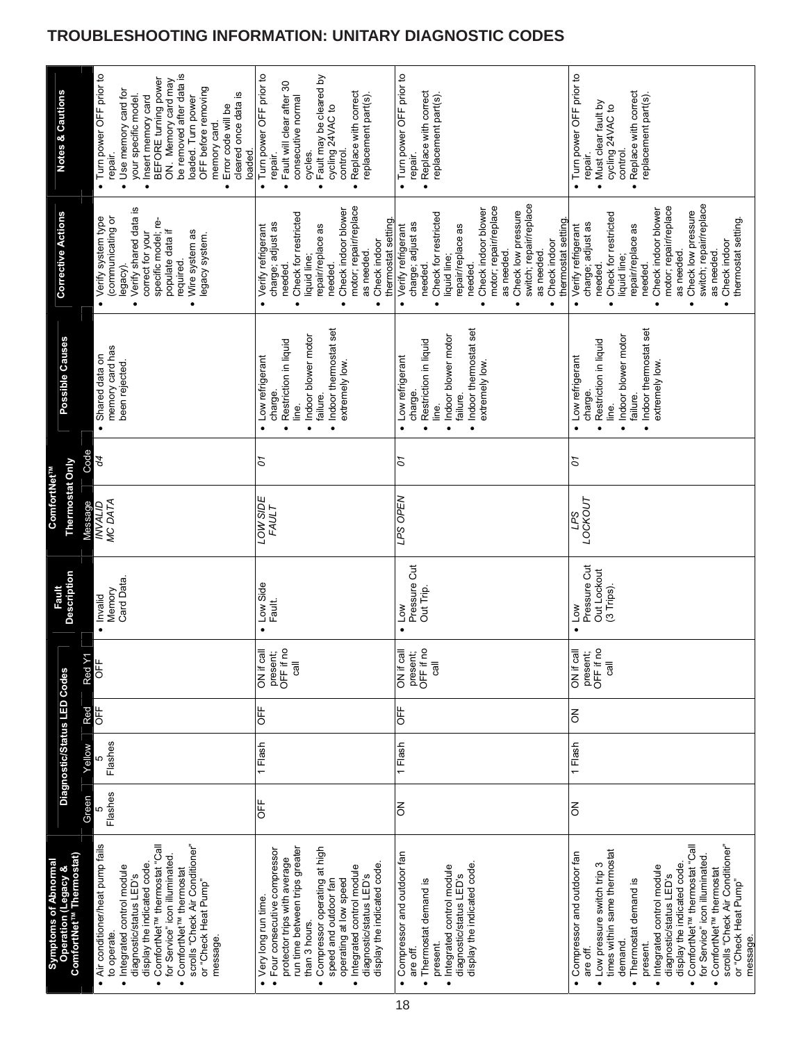| Symptoms of Abnormal<br>Operation (Legacy &                                                                                                                                                                                                                                                                                                                                                                                           |         | Diagnostic/Status LED Codes |            |                                                       | <b>Fault</b>                                              | ComfortNet <sup>TM</sup>        |      | Possible Causes                                                                                                                                                      | <b>Corrective Actions</b>                                                                                                                                                                                                                                                                                               | <b>Notes &amp; Cautions</b>                                                                                                                                                                                                                                                                               |
|---------------------------------------------------------------------------------------------------------------------------------------------------------------------------------------------------------------------------------------------------------------------------------------------------------------------------------------------------------------------------------------------------------------------------------------|---------|-----------------------------|------------|-------------------------------------------------------|-----------------------------------------------------------|---------------------------------|------|----------------------------------------------------------------------------------------------------------------------------------------------------------------------|-------------------------------------------------------------------------------------------------------------------------------------------------------------------------------------------------------------------------------------------------------------------------------------------------------------------------|-----------------------------------------------------------------------------------------------------------------------------------------------------------------------------------------------------------------------------------------------------------------------------------------------------------|
| <b>Inermostat</b><br>ComfortNet <sup>™</sup>                                                                                                                                                                                                                                                                                                                                                                                          | Green   | Yellow                      | Red        | Red Y1                                                | <b>Description</b>                                        | Thermostat Only<br>Message      | Code |                                                                                                                                                                      |                                                                                                                                                                                                                                                                                                                         |                                                                                                                                                                                                                                                                                                           |
| scrolls "Check Air Conditioner"<br>Air conditioner/heat pump fails<br>ComfortNet <sup>TM</sup> thermostat "Call<br>for Service" icon illuminated.<br>display the indicated code<br>Integrated control module<br>ComfortNet <sup>TM</sup> thermostat<br>diagnostic/status LED's<br>or "Check Heat Pump"<br>to operate<br>message.<br>$\bullet$                                                                                         | Flashes | Flashes                     | <b>SFF</b> | <b>UFF</b>                                            | Memory<br>Card Data.<br>· Invalid                         | MC DATA<br><b>UNALID</b>        | 44   | memory card has<br>Shared data on<br>been rejected.<br>$\bullet$                                                                                                     | Verify shared data is<br>(communicating or<br>• Verify system type<br>specific model; re-<br>populate data if<br>Wire system as<br>correct for your<br>legacy system.<br>required.<br>legacy).                                                                                                                          | • Turn power OFF prior to<br>be removed after data is<br>BEFORE turning power<br>ON. Memory card may<br>OFF before removing<br>Use memory card for<br>cleared once data is<br>your specific model.<br>Insert memory card<br>loaded. Tum power<br>Error code will be<br>memory card.<br>loaded.<br>repair. |
| run time between trips greater<br>Compressor operating at high<br>· Four consecutive compressor<br>protector trips with average<br>display the indicated code.<br>Integrated control module<br>diagnostic/status LED's<br>operating at low speed<br>speed and outdoor far<br>• Very long run time<br>than 3 hours.<br>$\bullet$                                                                                                       | 岀<br>OF | T Flash                     | <b>UFF</b> | ON if call<br>present;<br>OFF if no<br>$\overline{3}$ | · Low Side<br>Fault.                                      | <b>JUIS MOT</b><br><b>FAULT</b> | 5    | • Indoor thermostat set<br>Indoor blower motor<br>Restriction in liquid<br>· Low refrigerant<br>extremely low<br>charge.<br>failure.<br>line.<br>$\bullet$           | Check indoor blower<br>motor; repair/replace<br>Check for restricted<br>thermostat setting<br>charge; adjust as<br>repair/replace as<br>Verify refrigerant<br>Check indoor<br>as needed.<br>liquid line;<br>needed.<br>needed.<br>$\bullet$<br>$\bullet$<br>$\bullet$                                                   | Turn power OFF prior to<br>Fault may be cleared by<br>Fault will clear after 30<br>Replace with correct<br>replacement part(s).<br>consecutive normal<br>cycling 24VAC to<br>cycles.<br>control<br>repair.<br>$\bullet$                                                                                   |
| Compressor and outdoor fan<br>display the indicated code.<br>Integrated control module<br>diagnostic/status LED's<br>Thermostat demand is<br>present<br>are off.<br>$\bullet$<br>$\bullet$                                                                                                                                                                                                                                            | š       | 1 Flash                     | t⊧         | ON if call<br>present;<br>OFF if no<br><b>Tes</b>     | Pressure Cut<br>Out Trip<br>$\bullet$ Low                 | LPS OPEN                        | 50   | Indoor thermostat set<br>Indoor blower motor<br>Restriction in liquid<br>· Low refrigerant<br>extremely low.<br>charge<br>failure.<br>line.<br>$\bullet$             | switch; repair/replace<br>motor; repair/replace<br>Check indoor blower<br>Check low pressure<br>Check for restricted<br>thermostat setting<br>charge; adjust as<br>repair/replace as<br>Verify refrigerant<br>Check indoor<br>as needed.<br>as needed.<br>liquid line;<br>needed.<br>needed.<br>$\bullet$               | Turn power OFF prior to<br>Replace with correct<br>replacement part(s).<br>repair.<br>$\bullet$                                                                                                                                                                                                           |
| scrolls "Check Air Conditioner"<br>ComfortNet <sup>TM</sup> thermostat "Call<br>times within same thermostat<br>Compressor and outdoor fan<br>for Service" icon illuminated.<br>Low pressure switch trip 3<br>display the indicated code<br>Integrated control module<br>ComfortNet <sup>TM</sup> thermostat<br>diagnostic/status LED's<br>or "Check Heat Pump"<br>Thermostat demand is<br>message.<br>demand.<br>present.<br>are off | š       | 1 Flash                     | ЮO         | ON if call<br>present;<br>OFF if no<br>$\overline{3}$ | Pressure Cut<br>Out Lockout<br>(3 Trips)<br>$\bullet$ Low | LOCKOUT<br>Sd1                  | 5    | Indoor thermostat set<br>Indoor blower motor<br>Restriction in liquid<br>· Low refrigerant<br>extremely low<br>charge<br>failure.<br>line.<br>$\bullet$<br>$\bullet$ | switch; repair/replace<br>motor; repair/replace<br>Check indoor blower<br>Check low pressure<br>Check for restricted<br>thermostat setting.<br>charge; adjust as<br>repair/replace as<br>Verify refrigerant<br>Check indoor<br>as needed.<br>as needed.<br>liquid line;<br>needed.<br>needed.<br>$\bullet$<br>$\bullet$ | Turn power OFF prior to<br>Replace with correct<br>replacement part(s).<br>Must clear fault by<br>cycling 24VAC to<br>control.<br>repair.<br>$\bullet$                                                                                                                                                    |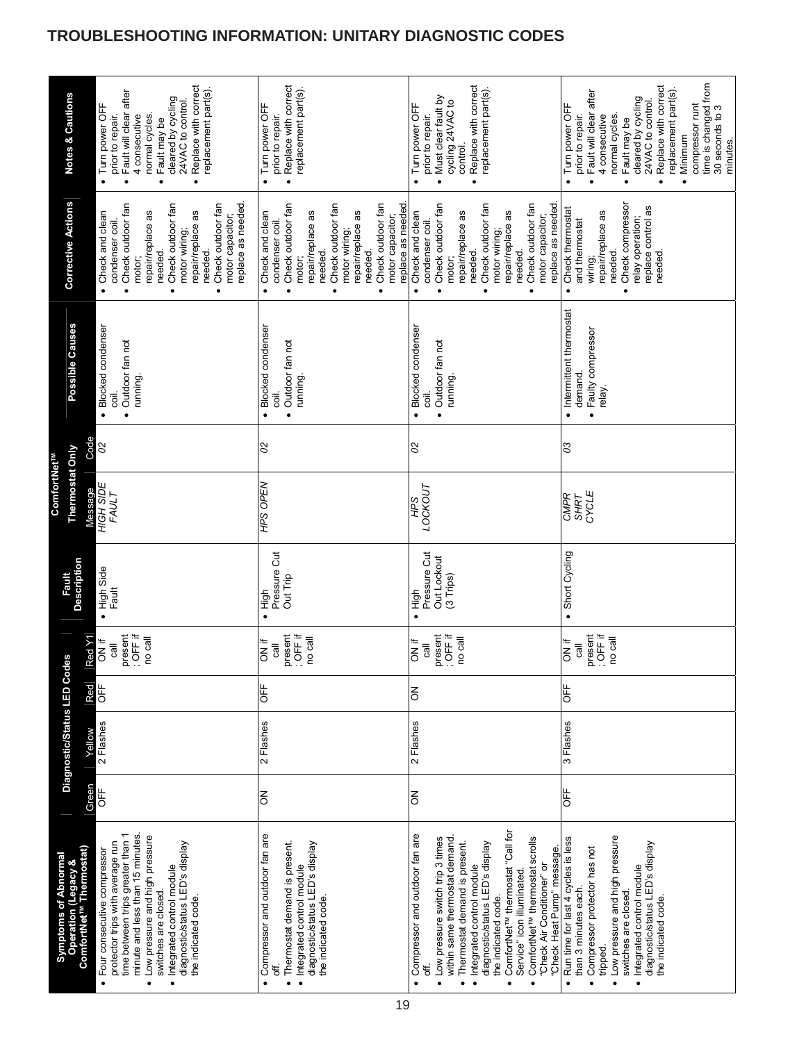|                                | <b>Notes &amp; Cautions</b>                                              | Replace with correct<br>replacement part(s).<br>Fault will clear after<br>cleared by cycling<br>24VAC to control<br>· Turn power OFF<br>prior to repair.<br>normal cycles.<br>4 consecutive<br>Fault may be                                                                                              | Replace with correct<br>replacement part(s).<br>· Turn power OFF<br>prior to repair.                                                                                                                                                              | Replace with correct<br>replacement part(s).<br>Must clear fault by<br>cycling 24VAC to<br>Turn power OFF<br>prior to repair.<br>control.<br>$\bullet$                                                                                                                                                                                                                                                                        | time is changed from<br>Replace with correct<br>replacement part(s).<br>Fault will clear after<br>cleared by cycling<br>24VAC to control.<br>· Turn power OFF<br>compressor runt<br>30 seconds to 3<br>prior to repair.<br>normal cycles.<br>4 consecutive<br>Fault may be<br>Minimum<br>minutes.<br>$\bullet$ |
|--------------------------------|--------------------------------------------------------------------------|----------------------------------------------------------------------------------------------------------------------------------------------------------------------------------------------------------------------------------------------------------------------------------------------------------|---------------------------------------------------------------------------------------------------------------------------------------------------------------------------------------------------------------------------------------------------|-------------------------------------------------------------------------------------------------------------------------------------------------------------------------------------------------------------------------------------------------------------------------------------------------------------------------------------------------------------------------------------------------------------------------------|----------------------------------------------------------------------------------------------------------------------------------------------------------------------------------------------------------------------------------------------------------------------------------------------------------------|
|                                | <b>Corrective Actions</b>                                                | replace as needed.<br>Check outdoor fan<br>Check outdoor fan<br>Check outdoor fan<br>• Check and clean<br>repair/replace as<br>repair/replace as<br>motor capacitor;<br>condenser coil<br>motor wiring;<br>needed.<br>needed<br>motor;                                                                   | replace as needed<br>Check outdoor fan<br>Check outdoor fan<br>Check outdoor fan<br>Check and clean<br>repair/replace as<br>repair/replace as<br>motor capacitor;<br>condenser coil<br>motor wiring;<br>needed.<br>needed.<br>motor;<br>$\bullet$ | replace as needed<br>Check outdoor fan<br>Check outdoor fan<br>Check outdoor fan<br>Check and clean<br>repair/replace as<br>repair/replace as<br>motor capacitor<br>condenser coil<br>motor wiring;<br>needed.<br>needed<br>motor;<br>$\bullet$                                                                                                                                                                               | Check compressor<br>Check thermostat<br>relay operation;<br>replace control as<br>repair/replace as<br>and thermostat<br>needed.<br>needed.<br>wiring;<br>$\bullet$                                                                                                                                            |
|                                | Possible Causes                                                          | · Blocked condenser<br>Outdoor fan not<br>running<br>ē                                                                                                                                                                                                                                                   | · Blocked condenser<br>Outdoor fan not<br>running<br>$\bar{5}$                                                                                                                                                                                    | <b>Blocked</b> condenser<br>Outdoor fan not<br>running<br>ē                                                                                                                                                                                                                                                                                                                                                                   | • Intermittent thermostat<br>Faulty compressor<br>demand<br>relay.                                                                                                                                                                                                                                             |
|                                | Code                                                                     | $\approx$                                                                                                                                                                                                                                                                                                | $\mathcal{S}^{\mathcal{O}}$                                                                                                                                                                                                                       | 82                                                                                                                                                                                                                                                                                                                                                                                                                            | 03                                                                                                                                                                                                                                                                                                             |
| <b>ComfortNet<sup>TM</sup></b> | Thermostat Only<br>Message                                               | <b>HIGH SIDE</b><br><b>FAULT</b>                                                                                                                                                                                                                                                                         | HPS OPEN                                                                                                                                                                                                                                          | LOCKOUT<br><b>SdH</b>                                                                                                                                                                                                                                                                                                                                                                                                         | CYCLE<br><b>CMPR</b><br>SHRT                                                                                                                                                                                                                                                                                   |
|                                | Description<br>Fault                                                     | · High Side<br>Fault                                                                                                                                                                                                                                                                                     | Pressure Cut<br>Out Trip<br>$\frac{5}{100}$                                                                                                                                                                                                       | Pressure Cut<br>Out Lockout<br>(3 Trips)<br>high<br>High                                                                                                                                                                                                                                                                                                                                                                      | · Short Cycling                                                                                                                                                                                                                                                                                                |
| Diagnostic/Status LED Code     | Red Y1                                                                   | present<br>; OFF if<br>no call<br><b>HINO</b><br>$\overline{\overline{a}}$                                                                                                                                                                                                                               | present<br>; OFF if<br>no call<br><b>UNIT</b><br>$\overline{\overline{a}}$                                                                                                                                                                        | ; OFF if<br>present<br>no call<br><b>UNIT</b><br>call                                                                                                                                                                                                                                                                                                                                                                         | present<br>; OFF if<br>no call<br><b>DN</b> if<br>$\overline{\overline{a}}$                                                                                                                                                                                                                                    |
|                                | <b>Red</b>                                                               | <b>UFF</b>                                                                                                                                                                                                                                                                                               | OFF                                                                                                                                                                                                                                               | š                                                                                                                                                                                                                                                                                                                                                                                                                             | OFF                                                                                                                                                                                                                                                                                                            |
|                                | Yellow                                                                   | 2 Flashes                                                                                                                                                                                                                                                                                                | 2 Flashes                                                                                                                                                                                                                                         | 2 Flashes                                                                                                                                                                                                                                                                                                                                                                                                                     | 3 Flashes                                                                                                                                                                                                                                                                                                      |
|                                | Green                                                                    | t⊧                                                                                                                                                                                                                                                                                                       | $\overline{5}$                                                                                                                                                                                                                                    | š                                                                                                                                                                                                                                                                                                                                                                                                                             | <b>UFF</b>                                                                                                                                                                                                                                                                                                     |
| <b>Symptoms of Abnormal</b>    | Thermostat<br><b>Operation (Legacy &amp;</b><br>ComfortNet <sup>TM</sup> | time between trips greater than 1<br>minute and less than 15 minutes<br>Low pressure and high pressure<br>protector trips with average run<br>diagnostic/status LED's display<br>· Four consecutive compressor<br>· Integrated control module<br>switches are closed<br>the indicated code.<br>$\bullet$ | • Compressor and outdoor fan are<br>diagnostic/status LED's display<br>Thermostat demand is present.<br>· Integrated control module<br>the indicated code.<br>5f<br>$\bullet$                                                                     | ComfortNet <sup>™</sup> thermostat "Call for<br>Compressor and outdoor fan are<br>• Low pressure switch trip 3 times<br>ComfortNet <sup>TM</sup> thermostat scrolls<br>within same thermostat demand.<br>Thermostat demand is present.<br>diagnostic/status LED's display<br>"Check Heat Pump" message<br>"Check Air Conditioner" or<br>· Integrated control module<br>Service" icon illuminated<br>the indicated code.<br>ð, | . Run time for last 4 cycles is less<br>Low pressure and high pressure<br>diagnostic/status LED's display<br>Compressor protector has not<br>Integrated control module<br>than 3 minutes each<br>switches are closed.<br>the indicated code.<br>tripped.                                                       |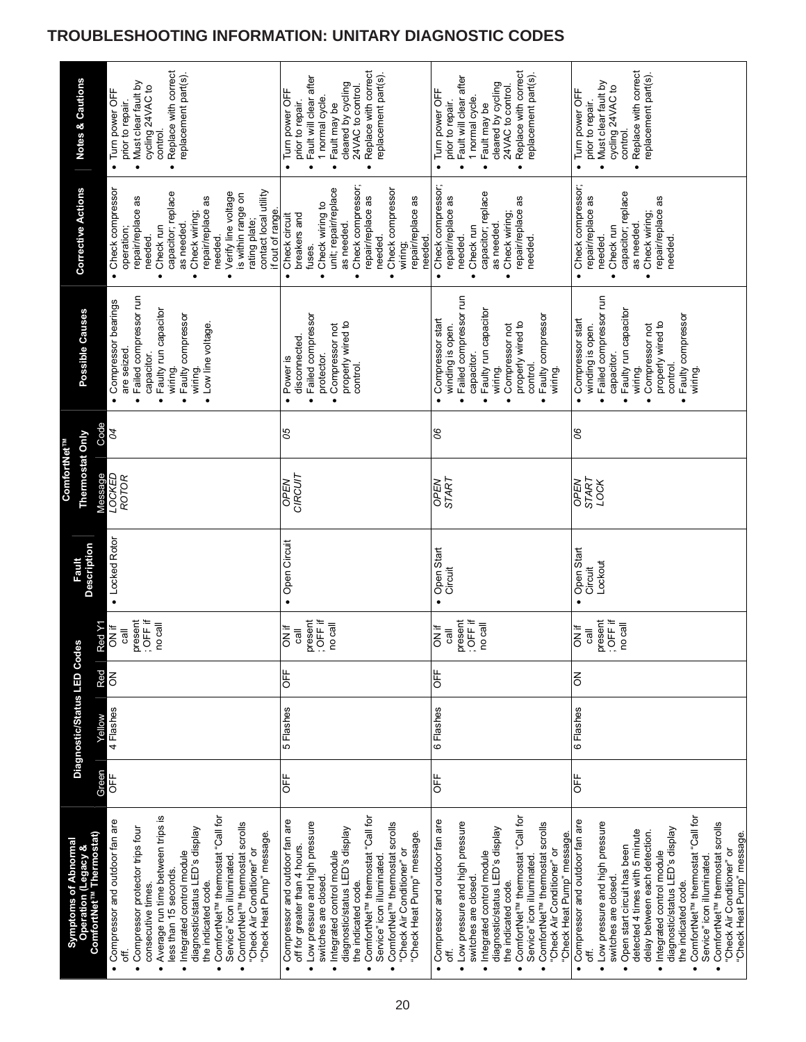| <b>Symptoms of Abnormal</b>                                                                                                                                                                                                                                                                                                                                                                                                                                                   |                  |                           |                       |                                                          |                                               | ComfortNet <sup>TM</sup>          |            |                                                                                                                                                                                                                            |                                                                                                                                                                                                                                                                                          |                                                                                                                                                                                                         |
|-------------------------------------------------------------------------------------------------------------------------------------------------------------------------------------------------------------------------------------------------------------------------------------------------------------------------------------------------------------------------------------------------------------------------------------------------------------------------------|------------------|---------------------------|-----------------------|----------------------------------------------------------|-----------------------------------------------|-----------------------------------|------------|----------------------------------------------------------------------------------------------------------------------------------------------------------------------------------------------------------------------------|------------------------------------------------------------------------------------------------------------------------------------------------------------------------------------------------------------------------------------------------------------------------------------------|---------------------------------------------------------------------------------------------------------------------------------------------------------------------------------------------------------|
| ComfortNet <sup>TM</sup> Thermostat)<br>Operation (Legacy &                                                                                                                                                                                                                                                                                                                                                                                                                   |                  | Diagnostic/Status LED Cod |                       | es                                                       | <b>Description</b><br>Fault                   | Thermostat Only                   |            | Possible Causes                                                                                                                                                                                                            | <b>Corrective Actions</b>                                                                                                                                                                                                                                                                | <b>Notes &amp; Cautions</b>                                                                                                                                                                             |
| Average run time between trips is<br>ComfortNet <sup>TM</sup> thermostat "Call for<br>Compressor and outdoor fan are<br>ComfortNet <sup>TM</sup> thermostat scrolls<br>Compressor protector trips four<br>diagnostic/status LED's display<br>"Check Heat Pump" message.<br>Integrated control module<br>"Check Air Conditioner" or<br>Service" icon illuminated<br>less than 15 seconds.<br>the indicated code.<br>consecutive times<br>5                                     | Green<br>ხ−<br>ბ | 4 Flashes<br>Yellow       | $\overline{5}$<br>Red | present<br>OFF if<br>Red Y1<br>no call<br>ik⊃<br>call    | • Locked Rotor                                | LOCKED<br>Message<br><b>ROTOR</b> | Code<br>84 | Failed compressor run<br>• Compressor bearings<br>Faulty run capacitor<br>Faulty compressor<br>· Low line voltage.<br>are seized.<br>capacitor.<br>wiring.<br>wiring.<br>$\bullet$                                         | • Check compressor<br>contact local utility<br>Verify line voltage<br>capacitor; replace<br>is within range on<br>repair/replace as<br>repair/replace as<br>if out of range<br>Check wiring;<br>rating plate;<br>as needed.<br>Check run<br>operation<br>needed.<br>needed.<br>$\bullet$ | Replace with correct<br>replacement part(s).<br>Must clear fault by<br>cycling 24VAC to<br>· Turn power OFF<br>prior to repair.<br>control.                                                             |
| ComfortNet <sup>TM</sup> thermostat "Call for<br>Compressor and outdoor fan are<br>Low pressure and high pressure<br>ComfortNet <sup>TM</sup> thermostat scrolls<br>diagnostic/status LED's display<br>"Check Heat Pump" message.<br>off for greater than 4 hours.<br>"Check Air Conditioner" or<br>Integrated control module<br>Service" icon illuminated<br>switches are closed<br>the indicated code.                                                                      | <b>OFF</b>       | 5 Flashes                 | OFF                   | present<br>OFF if<br>no call<br><b>J! NO</b><br>call     | Open Circuit                                  | CIRCUIT<br>OPEN                   | 80         | Failed compressor<br>properly wired to<br>Compressor not<br>disconnected<br>protector<br>Power is<br>control.                                                                                                              | Check compressor;<br>unit; repair/replace<br>Check compressor<br>repair/replace as<br>repair/replace as<br>Check wiring to<br>breakers and<br>Check circuit<br>as needed.<br>needed.<br>needed<br>wiring;<br>tuses.<br>$\bullet$<br>$\bullet$<br>$\bullet$<br>$\bullet$                  | Replace with correct<br>replacement part(s).<br>Fault will clear after<br>cleared by cycling<br>24VAC to control<br>Turn power OFF<br>1 normal cycle.<br>prior to repair.<br>Fault may be               |
| ComfortNet <sup>TM</sup> thermostat "Call for<br>Compressor and outdoor fan are<br>Low pressure and high pressure<br>ComfortNet <sup>™</sup> thermostat scrolls<br>diagnostic/status LED's display<br>"Check Heat Pump" message.<br>"Check Air Conditioner" or<br>Integrated control module<br>Service" icon illuminated.<br>switches are closed<br>the indicated code.<br>σff.                                                                                               | UFF              | 6 Flashes                 | OFF                   | present<br>OFF if<br>no call<br>™<br>N<br>$\overline{5}$ | Open Start<br>Circuit                         | START<br><b>OPEN</b>              | 80         | Failed compressor run<br>Faulty run capacitor<br>Faulty compressor<br>Compressor start<br>properly wired to<br>Compressor not<br>winding is open.<br>capacitor<br>control.<br>wiring.<br>wiring.<br>$\bullet$              | Check compressor;<br>capacitor; replace<br>repair/replace as<br>repair/replace as<br>Check wiring;<br>as needed.<br>Check run<br>needed.<br>needed.<br>$\bullet$<br>$\bullet$                                                                                                            | Replace with correct<br>replacement part(s).<br>Fault will clear after<br>cleared by cycling<br>24VAC to control.<br>Turn power OFF<br>1 normal cycle.<br>prior to repair.<br>Fault may be<br>$\bullet$ |
| ComfortNet <sup>TM</sup> thermostat "Call for<br>Compressor and outdoor fan are<br>Low pressure and high pressure<br>ComfortNet <sup>™</sup> thermostat scrolls<br>diagnostic/status LED's display<br>detected 4 times with 5 minute<br>delay between each detection.<br>"Check Heat Pump" message<br>Open start circuit has been<br>"Check Air Conditioner" or<br>Integrated control module<br>Service" icon illuminated.<br>switches are closed<br>the indicated code.<br>5 | OFF              | 6 Flashes                 | $\overline{5}$        | present<br>OFF if<br>no call<br><b>DNif</b><br>ख∥        | Open Start<br>Lockout<br>Circuit<br>$\bullet$ | OPEN<br>START<br>LOCK             | 80         | Failed compressor run<br>Faulty run capacitor<br>Faulty compressor<br>Compressor start<br>properly wired to<br>Compressor not<br>winding is open.<br>capacitor.<br>control<br>wiring.<br>wiring.<br>$\bullet$<br>$\bullet$ | · Check compressor;<br>capacitor; replace<br>repair/replace as<br>repair/replace as<br>Check wiring;<br>as needed.<br>Check run<br>needed.<br>needed.<br>$\bullet$<br>$\bullet$                                                                                                          | Replace with correct<br>replacement part(s).<br>Must clear fault by<br>cycling 24VAC to<br>· Turn power OFF<br>prior to repair.<br>control.                                                             |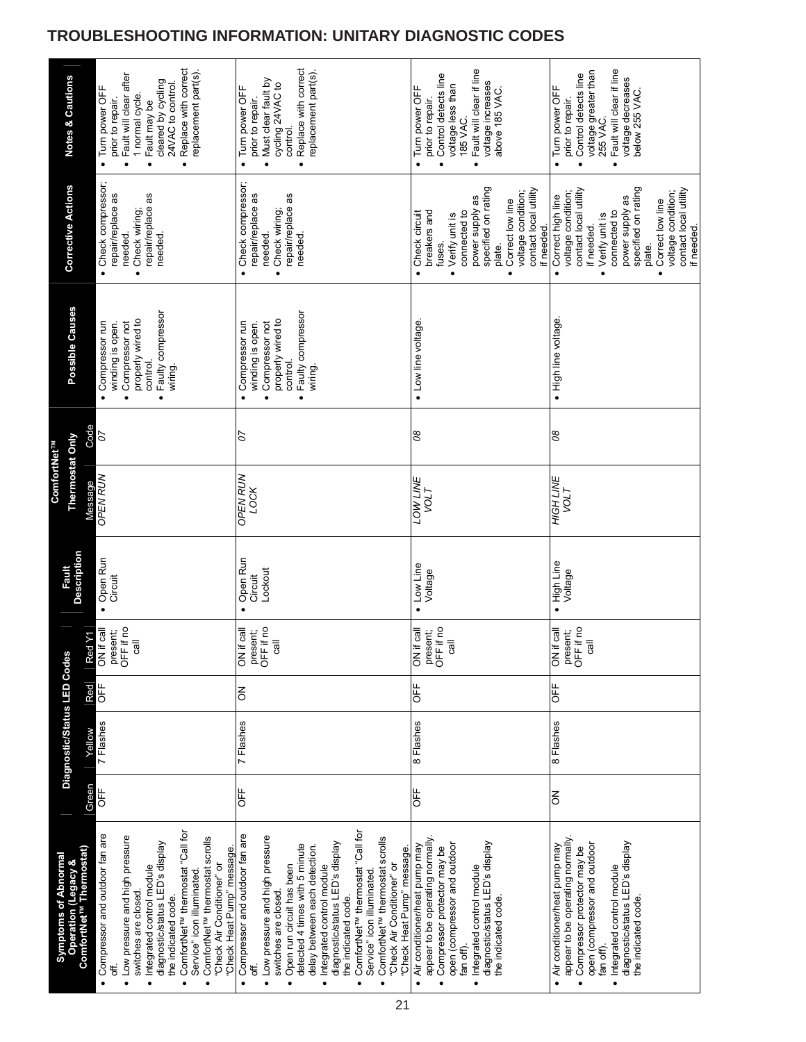|                             | <b>Notes &amp; Cautions</b>                                    | Replace with correct<br>replacement part(s).<br>Fault will clear after<br>cleared by cycling<br>24VAC to control.<br>· Turn power OFF<br>1 normal cycle.<br>prior to repair.<br>Fault may be                                                                                                                                                                                                                          | Replace with correct<br>replacement part(s).<br>Must clear fault by<br>cycling 24VAC to<br>• Turn power OFF<br>prior to repair.<br>control.                                                                                                                                                                                                                                                                                                                                                                                                    | Fault will clear if line<br>Control detects line<br>voltage increases<br>voltage less than<br>· Turn power OFF<br>above 185 VAC.<br>prior to repair.<br>185 VAC.<br>$\bullet$                                                                                    | Fault will clear if line<br>voltage greater than<br>255 VAC.<br>Control detects line<br>voltage decreases<br>below 255 VAC.<br>· Turn power OFF<br>prior to repair.<br>$\bullet$                                                                                                             |
|-----------------------------|----------------------------------------------------------------|-----------------------------------------------------------------------------------------------------------------------------------------------------------------------------------------------------------------------------------------------------------------------------------------------------------------------------------------------------------------------------------------------------------------------|------------------------------------------------------------------------------------------------------------------------------------------------------------------------------------------------------------------------------------------------------------------------------------------------------------------------------------------------------------------------------------------------------------------------------------------------------------------------------------------------------------------------------------------------|------------------------------------------------------------------------------------------------------------------------------------------------------------------------------------------------------------------------------------------------------------------|----------------------------------------------------------------------------------------------------------------------------------------------------------------------------------------------------------------------------------------------------------------------------------------------|
|                             | <b>Corrective Actions</b>                                      | · Check compressor;<br>repair/replace as<br>repair/replace as<br>Check wiring;<br>needed.<br>needed.<br>$\bullet$                                                                                                                                                                                                                                                                                                     | Check compressor;<br>repair/replace as<br>repair/replace as<br>Check wiring;<br>needed.<br>needed.<br>$\bullet$<br>$\bullet$                                                                                                                                                                                                                                                                                                                                                                                                                   | specified on rating<br>contact local utility<br>voltage condition;<br>power supply as<br>Correct low line<br>breakers and<br>• Check circuit<br>connected to<br>Verify unit is<br>if needed.<br>fuses.<br>plate.                                                 | contact local utility<br>contact local utility<br>power supply as<br>specified on rating<br>voltage condition;<br>voltage condition;<br>Correct high line<br>Correct low line<br>connected to<br>Verify unit is<br>if needed.<br>if needed.<br>plate.<br>$\bullet$<br>$\bullet$<br>$\bullet$ |
|                             | Possible Causes                                                | · Faulty compressor<br>properly wired to<br>• Compressor run<br>Compressor not<br>winding is open.<br>control.<br>wiring.                                                                                                                                                                                                                                                                                             | Faulty compressor<br>properly wired to<br>• Compressor run<br>Compressor not<br>winding is open.<br>control.<br>wiring.                                                                                                                                                                                                                                                                                                                                                                                                                        | . Low line voltage.                                                                                                                                                                                                                                              | • High line voltage.                                                                                                                                                                                                                                                                         |
|                             | Code                                                           | $\delta$                                                                                                                                                                                                                                                                                                                                                                                                              | δ                                                                                                                                                                                                                                                                                                                                                                                                                                                                                                                                              | 80                                                                                                                                                                                                                                                               | $\infty$                                                                                                                                                                                                                                                                                     |
| ComfortNet <sup>TM</sup>    | Thermostat Only<br>Message                                     | OPEN RUN                                                                                                                                                                                                                                                                                                                                                                                                              | <b>OPEN RUN</b><br>LOCK                                                                                                                                                                                                                                                                                                                                                                                                                                                                                                                        | <b>TOW LINE</b><br>VOL <sub>T</sub>                                                                                                                                                                                                                              | <b>HIGH LINE</b><br>VOL <sub>T</sub>                                                                                                                                                                                                                                                         |
|                             | Description<br>Fault                                           | · Open Run<br>Circuit                                                                                                                                                                                                                                                                                                                                                                                                 | · Open Run<br>Lockout<br>Circuit                                                                                                                                                                                                                                                                                                                                                                                                                                                                                                               | • Low Line<br>Voltage                                                                                                                                                                                                                                            | · High Line<br>Voltage                                                                                                                                                                                                                                                                       |
| Diagnostic/Status LED Codes | Red Y1                                                         | ON if call<br>OFF if no<br>present;<br>$\overline{5}$                                                                                                                                                                                                                                                                                                                                                                 | OFF if no<br>ON if call<br>present;<br>$\overline{a}$                                                                                                                                                                                                                                                                                                                                                                                                                                                                                          | OFF if no<br>ON if call<br>present;<br>$\overline{a}$                                                                                                                                                                                                            | OFF if no<br>ON if call<br>present;<br>$\overline{a}$                                                                                                                                                                                                                                        |
|                             | Red                                                            | J≒                                                                                                                                                                                                                                                                                                                                                                                                                    | š                                                                                                                                                                                                                                                                                                                                                                                                                                                                                                                                              | <b>UH</b>                                                                                                                                                                                                                                                        | <b>UFF</b>                                                                                                                                                                                                                                                                                   |
|                             | Yellow                                                         | 7 Flashes                                                                                                                                                                                                                                                                                                                                                                                                             | 7 Flashes                                                                                                                                                                                                                                                                                                                                                                                                                                                                                                                                      | 8 Flashes                                                                                                                                                                                                                                                        | 8 Flashes                                                                                                                                                                                                                                                                                    |
|                             | Green                                                          | ₽F                                                                                                                                                                                                                                                                                                                                                                                                                    | <b>UFF</b>                                                                                                                                                                                                                                                                                                                                                                                                                                                                                                                                     | OFF                                                                                                                                                                                                                                                              | $\overline{5}$                                                                                                                                                                                                                                                                               |
| <b>Symptoms of Abnormal</b> | Thermostat)<br>Operation (Legacy &<br>ComfortNet <sup>TM</sup> | ComfortNet <sup>TM</sup> thermostat "Call for<br>• Compressor and outdoor fan are<br>Low pressure and high pressure<br>ComfortNet <sup>TM</sup> thermostat scrolls<br>diagnostic/status LED's display<br>"Check Heat Pump" message.<br>"Check Air Conditioner" or<br>Integrated control module<br>Service" icon illuminated<br>switches are closed<br>the indicated code.<br>5<br>$\bullet$<br>$\bullet$<br>$\bullet$ | ComfortNet <sup>™</sup> thermostat "Call for<br>Compressor and outdoor fan are<br>Low pressure and high pressure<br>ComfortNet <sup>TM</sup> thermostat scrolls<br>diagnostic/status LED's display<br>detected 4 times with 5 minute<br>delay between each detection.<br>"Check Heat Pump" message<br>"Check Air Conditioner" or<br>Open run circuit has been<br>Integrated control module<br>Service" icon illuminated<br>switches are closed<br>the indicated code.<br>off.<br>$\bullet$<br>$\bullet$<br>$\bullet$<br>$\bullet$<br>$\bullet$ | appear to be operating normally.<br>diagnostic/status LED's display<br>open (compressor and outdoor<br>Air conditioner/heat pump may<br>Compressor protector may be<br>· Integrated control module<br>the indicated code.<br>fan off).<br>$\bullet$<br>$\bullet$ | appear to be operating normally.<br>diagnostic/status LED's display<br>open (compressor and outdoor<br>• Air conditioner/heat pump may<br>Compressor protector may be<br>· Integrated control module<br>the indicated code.<br>fan off).<br>$\bullet$                                        |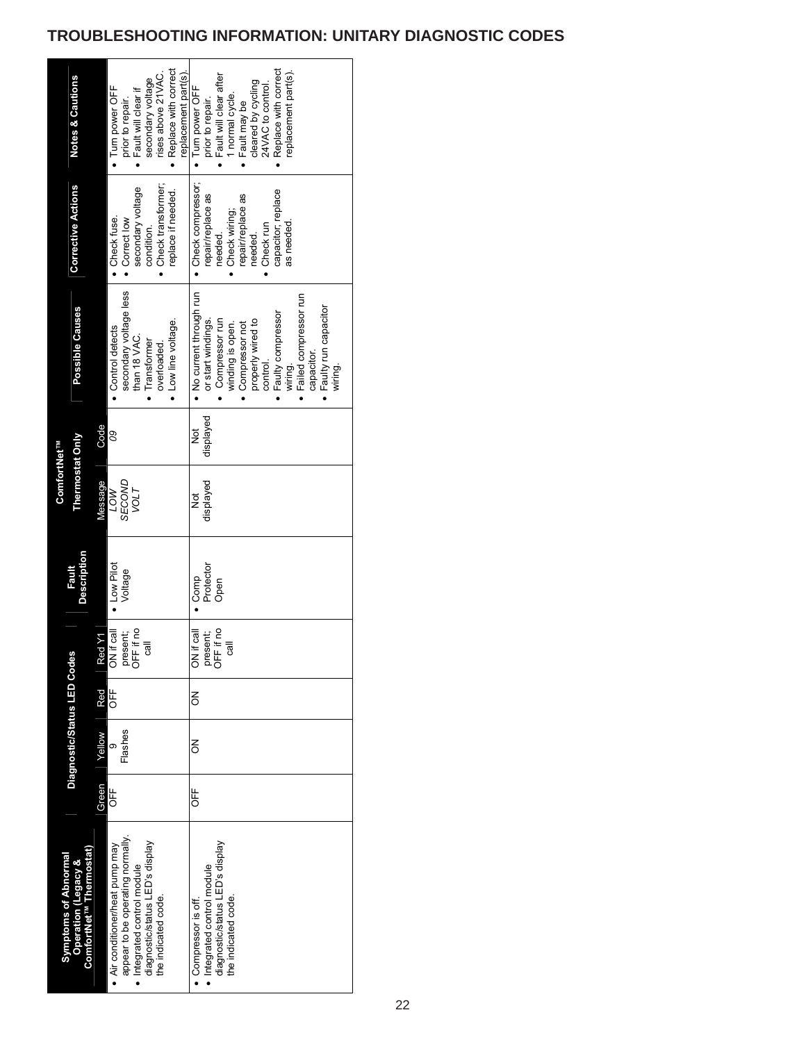#### • Replace with correct • Replace with correct rises above 21VAC. · Replace with correct replacement part(s). Replace with correct replacement part(s). x Fault will clear after rises above 21VAC. replacement part(s) · Fault will clear after replacement part(s) Symptoms of Abnormal<br>Operation (Legacy & Diagnostic/Status LED Codes Fault Thermostat Only Possible Causes Corrective Actions Notes & Cautions<br>ComfortNet™ Thermostat) Yellow Red Red Y1 **Notes & Cautions** secondary voltage secondary voltage cleared by cycling 24VAC to control. cleared by cycling 24VAC to control. x Turn power OFF x Turn power OFF · Turn power OFF · Fault will clear if x Fault will clear if • Turn power OFF 1 normal cycle. 1 normal cycle. prior to repair. prior to repair. prior to repair. prior to repair. • Fault may be • Fault may be  $\bullet$ x Check compressor; • Check transformer; x Check transformer; · Check compressor; **Corrective Actions** secondary voltage secondary voltage replace if needed. replace if needed. capacitor; replace capacitor; replace repair/replace as repair/replace as repair/replace as repair/replace as Check wiring; **Check wiring;** x Check fuse. • Check fuse. • Correct low • Correct low as needed. as needed. • Check run x Check run condition. condition. needed. needed. needed. needed.  $\bullet$ secondary voltage less secondary voltage less • No current through run • No current through run x Failed compressor run wiring.<br>• Failed compressor run **Faulty run capacitor** Possible Causes · Faulty run capacitor · Faulty compressor • Faulty compressor or start windings. • Low line voltage. • Compressor run properly wired to or start windings. · Compressor run winding is open. properly wired to · Low line voltage. winding is open. • Compressor not x Compressor not • Control detects 09 **control detects** than 18 VAC. than 18 VAC. • Transformer x Transformer overloaded. overloaded. capacitor. capacitor. control. wiring. displayed Code  $\overline{60}$ Not **Diagnostic/Status LED Codes ComfortNet™ Thermostat Only** Thermostat Only ComfortNet<sup>TM</sup> *SECOND*  displayed Message *LOW VOLT*  Not Fault<br>Description • Low Pilot<br>Voltage **.** Low Pilot Protector x Comp Open present;<br>OFF if no present;<br>OFF if no ON if call OFF if no OFF if no OFF ON if call IIrg in NO ON ON ON ON ON ONLY OUT ALLOW ON if call Red Y1  $\overline{a}$ call Diagnostic/Status LED Codes Red OFF  $\leq$ 9<br>Flashes Yellow  $\overline{5}$ OFF 9 Green 노<br>이 OFF appear to be operating normally. appear to be operating normally diagnostic/status LED's display diagnostic/status LED's display diagnostic/status LED's display • Air conditioner/heat pump may x Air conditioner/heat pump may Symptoms of Abnormal<br>Operation (Legacy &<br>ComfortNet™ Thermostat) · Integrated control module • Integrated control module · Integrated control module • Integrated control module the indicated code. the indicated code. the indicated code. x Compressor is off. • Compressor is off.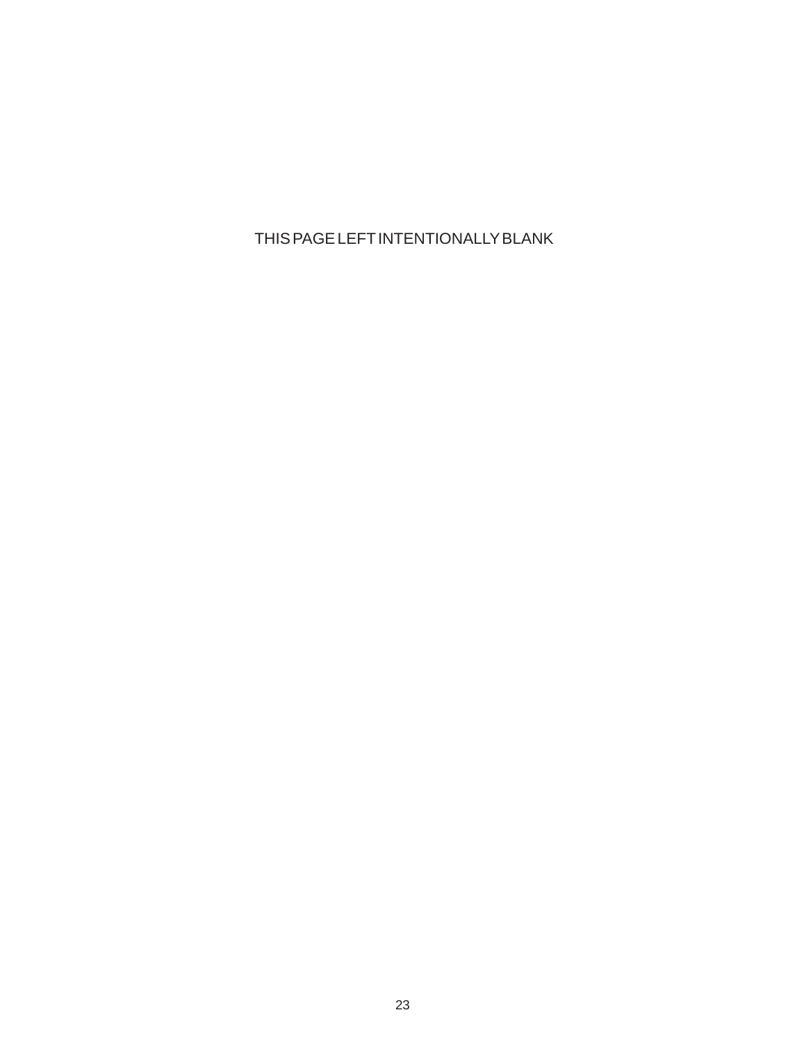THIS PAGE LEFT INTENTIONALLY BLANK